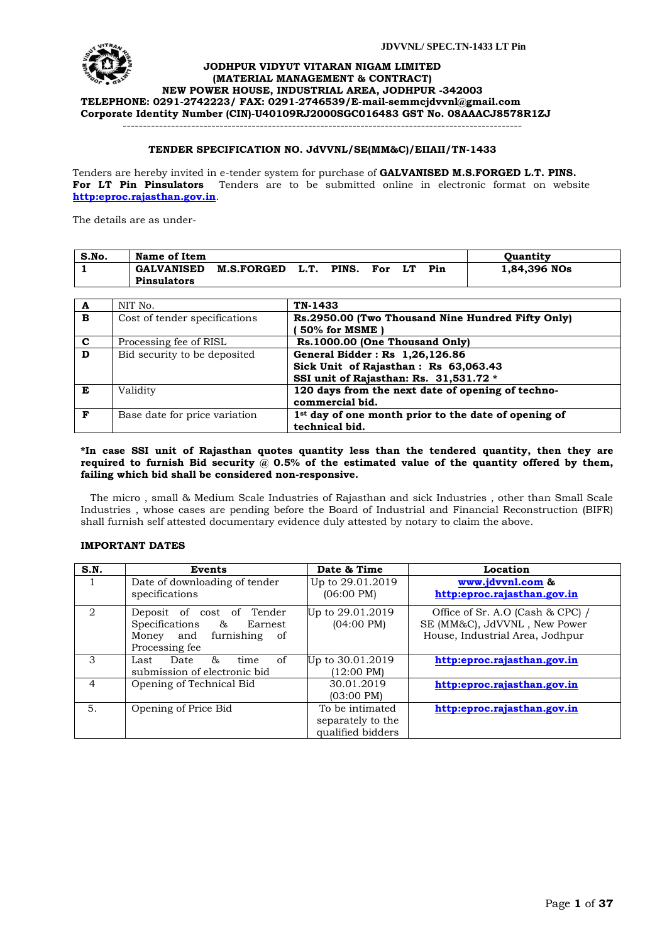

#### **JODHPUR VIDYUT VITARAN NIGAM LIMITED (MATERIAL MANAGEMENT & CONTRACT) NEW POWER HOUSE, INDUSTRIAL AREA, JODHPUR -342003 TELEPHONE: 0291-2742223/ FAX: 0291-2746539/E-mail[-semmcjdvvnl@gmail.com](mailto:semmcjdvvnl@gmail.com) Corporate Identity Number (CIN)-U40109RJ2000SGC016483 GST No. 08AAACJ8578R1ZJ** ---------------------------------------------------------------------------------------------------

# **TENDER SPECIFICATION NO. JdVVNL/SE(MM&C)/EIIAII/TN-1433**

Tenders are hereby invited in e-tender system for purchase of **GALVANISED M.S.FORGED L.T. PINS. For LT Pin Pinsulators** Tenders are to be submitted online in electronic format on website **[http:eproc.rajasthan.gov.in](http://www.eproc.rajasthan.gov.in/nicgep/app)**.

The details are as under-

| S.No. | Name of Item       |                   |      |       |     |     | <b>Ouantity</b> |
|-------|--------------------|-------------------|------|-------|-----|-----|-----------------|
|       | <b>GALVANISED</b>  | <b>M.S.FORGED</b> | L.T. | PINS. | For | Pin | 1,84,396 NOs    |
|       | <b>Pinsulators</b> |                   |      |       |     |     |                 |

| A              | NIT No.                       | TN-1433                                              |
|----------------|-------------------------------|------------------------------------------------------|
| B              | Cost of tender specifications | Rs.2950.00 (Two Thousand Nine Hundred Fifty Only)    |
|                |                               | 50% for MSME                                         |
| $\mathbf{C}$   | Processing fee of RISL        | Rs.1000.00 (One Thousand Only)                       |
| $\overline{D}$ | Bid security to be deposited  | General Bidder: Rs 1,26,126.86                       |
|                |                               | Sick Unit of Rajasthan: Rs 63,063.43                 |
|                |                               | SSI unit of Rajasthan: Rs. 31,531.72 *               |
| Е              | Validity                      | 120 days from the next date of opening of techno-    |
|                |                               | commercial bid.                                      |
| F              | Base date for price variation | 1st day of one month prior to the date of opening of |
|                |                               | technical bid.                                       |

#### **\*In case SSI unit of Rajasthan quotes quantity less than the tendered quantity, then they are**  required to furnish Bid security @ 0.5% of the estimated value of the quantity offered by them, **failing which bid shall be considered non-responsive.**

 The micro , small & Medium Scale Industries of Rajasthan and sick Industries , other than Small Scale Industries , whose cases are pending before the Board of Industrial and Financial Reconstruction (BIFR) shall furnish self attested documentary evidence duly attested by notary to claim the above.

# **IMPORTANT DATES**

| S.N.           | Events                                                                                                   | Date & Time                                               | Location                                                                                            |
|----------------|----------------------------------------------------------------------------------------------------------|-----------------------------------------------------------|-----------------------------------------------------------------------------------------------------|
|                | Date of downloading of tender<br>specifications                                                          | Up to 29.01.2019<br>$(06:00 \text{ PM})$                  | www.jdvvnl.com &<br>http:eproc.rajasthan.gov.in                                                     |
| 2              | Deposit of cost of Tender<br>Specifications & Earnest<br>Money and<br>furnishing<br>of<br>Processing fee | Up to 29.01.2019<br>$(04:00 \text{ PM})$                  | Office of Sr. A.O (Cash & CPC) /<br>SE (MM&C), JdVVNL, New Power<br>House, Industrial Area, Jodhpur |
| 3              | &<br>of<br>Date<br>Last<br>time<br>submission of electronic bid                                          | Up to 30.01.2019<br>$(12:00 \text{ PM})$                  | http:eproc.rajasthan.gov.in                                                                         |
| $\overline{4}$ | Opening of Technical Bid                                                                                 | 30.01.2019<br>$(03:00 \text{ PM})$                        | http:eproc.rajasthan.gov.in                                                                         |
| 5.             | Opening of Price Bid                                                                                     | To be intimated<br>separately to the<br>qualified bidders | http:eproc.rajasthan.gov.in                                                                         |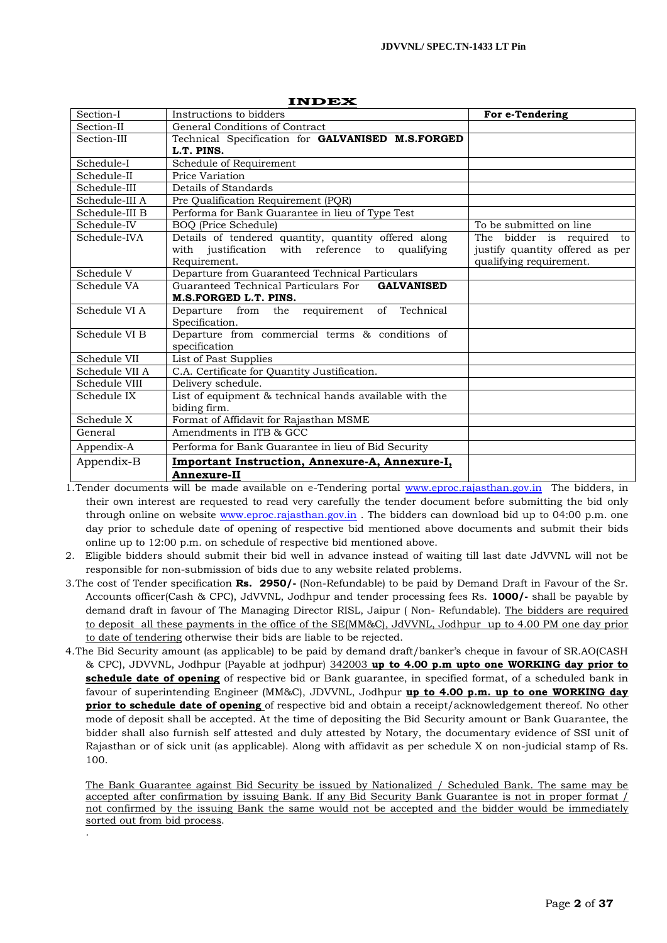|                | Шрек                                                      |                                 |
|----------------|-----------------------------------------------------------|---------------------------------|
| Section-I      | Instructions to bidders                                   | For e-Tendering                 |
| Section-II     | General Conditions of Contract                            |                                 |
| Section-III    | Technical Specification for GALVANISED M.S.FORGED         |                                 |
|                | L.T. PINS.                                                |                                 |
| Schedule-I     | Schedule of Requirement                                   |                                 |
| Schedule-II    | Price Variation                                           |                                 |
| Schedule-III   | Details of Standards                                      |                                 |
| Schedule-III A | Pre Qualification Requirement (PQR)                       |                                 |
| Schedule-III B | Performa for Bank Guarantee in lieu of Type Test          |                                 |
| Schedule-IV    | <b>BOQ</b> (Price Schedule)                               | To be submitted on line         |
| Schedule-IVA   | Details of tendered quantity, quantity offered along      | The bidder is required to       |
|                | with justification with reference to qualifying           | justify quantity offered as per |
|                | Requirement.                                              | qualifying requirement.         |
| Schedule V     | Departure from Guaranteed Technical Particulars           |                                 |
| Schedule VA    | Guaranteed Technical Particulars For<br><b>GALVANISED</b> |                                 |
|                | M.S.FORGED L.T. PINS.                                     |                                 |
| Schedule VI A  | Departure from the requirement of Technical               |                                 |
|                | Specification.                                            |                                 |
| Schedule VI B  | Departure from commercial terms & conditions of           |                                 |
|                | specification                                             |                                 |
| Schedule VII   | List of Past Supplies                                     |                                 |
| Schedule VII A | C.A. Certificate for Quantity Justification.              |                                 |
| Schedule VIII  | Delivery schedule.                                        |                                 |
| Schedule IX    | List of equipment & technical hands available with the    |                                 |
|                | biding firm.                                              |                                 |
| Schedule X     | Format of Affidavit for Rajasthan MSME                    |                                 |
| General        | Amendments in ITB & GCC                                   |                                 |
| Appendix-A     | Performa for Bank Guarantee in lieu of Bid Security       |                                 |
| Appendix-B     | Important Instruction, Annexure-A, Annexure-I,            |                                 |
|                | <b>Annexure-II</b>                                        |                                 |

**INDEX**

1.Tender documents will be made available on e-Tendering portal [www.eproc.rajasthan.gov.in](http://www.eproc.rajasthan.gov.in/) The bidders, in their own interest are requested to read very carefully the tender document before submitting the bid only through online on website [www.eproc.rajasthan.gov.in](http://www.eproc.rajasthan.gov.in/) . The bidders can download bid up to 04:00 p.m. one day prior to schedule date of opening of respective bid mentioned above documents and submit their bids online up to 12:00 p.m. on schedule of respective bid mentioned above.

2. Eligible bidders should submit their bid well in advance instead of waiting till last date JdVVNL will not be responsible for non-submission of bids due to any website related problems.

- 3.The cost of Tender specification **Rs. 2950/-** (Non-Refundable) to be paid by Demand Draft in Favour of the Sr. Accounts officer(Cash & CPC), JdVVNL, Jodhpur and tender processing fees Rs. **1000/-** shall be payable by demand draft in favour of The Managing Director RISL, Jaipur ( Non- Refundable). The bidders are required to deposit all these payments in the office of the SE(MM&C), JdVVNL, Jodhpur up to 4.00 PM one day prior to date of tendering otherwise their bids are liable to be rejected.
- 4.The Bid Security amount (as applicable) to be paid by demand draft/banker"s cheque in favour of SR.AO(CASH & CPC), JDVVNL, Jodhpur (Payable at jodhpur) 342003 **up to 4.00 p.m upto one WORKING day prior to schedule date of opening** of respective bid or Bank guarantee, in specified format, of a scheduled bank in favour of superintending Engineer (MM&C), JDVVNL, Jodhpur **up to 4.00 p.m. up to one WORKING day prior to schedule date of opening** of respective bid and obtain a receipt/acknowledgement thereof. No other mode of deposit shall be accepted. At the time of depositing the Bid Security amount or Bank Guarantee, the bidder shall also furnish self attested and duly attested by Notary, the documentary evidence of SSI unit of Rajasthan or of sick unit (as applicable). Along with affidavit as per schedule X on non-judicial stamp of Rs. 100.

The Bank Guarantee against Bid Security be issued by Nationalized / Scheduled Bank. The same may be accepted after confirmation by issuing Bank. If any Bid Security Bank Guarantee is not in proper format / not confirmed by the issuing Bank the same would not be accepted and the bidder would be immediately sorted out from bid process. .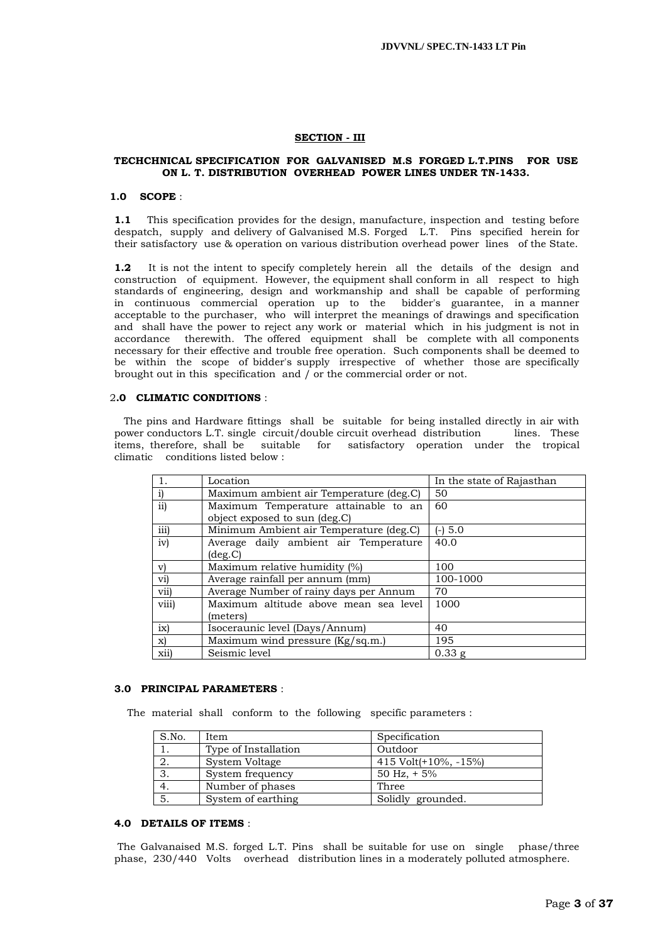#### **SECTION - III**

#### **TECHCHNICAL SPECIFICATION FOR GALVANISED M.S FORGED L.T.PINS FOR USE ON L. T. DISTRIBUTION OVERHEAD POWER LINES UNDER TN-1433.**

#### **1.0 SCOPE** :

**1.1** This specification provides for the design, manufacture, inspection and testing before despatch, supply and delivery of Galvanised M.S. Forged L.T. Pins specified herein for their satisfactory use & operation on various distribution overhead power lines of the State.

**1.2** It is not the intent to specify completely herein all the details of the design and construction of equipment. However, the equipment shall conform in all respect to high standards of engineering, design and workmanship and shall be capable of performing in continuous commercial operation up to the bidder's guarantee, in a manner acceptable to the purchaser, who will interpret the meanings of drawings and specification and shall have the power to reject any work or material which in his judgment is not in accordance therewith. The offered equipment shall be complete with all components necessary for their effective and trouble free operation. Such components shall be deemed to be within the scope of bidder's supply irrespective of whether those are specifically brought out in this specification and / or the commercial order or not.

#### 2**.0 CLIMATIC CONDITIONS** :

 The pins and Hardware fittings shall be suitable for being installed directly in air with power conductors L.T. single circuit/double circuit overhead distribution lines. These items, therefore, shall be suitable for satisfactory operation under the tropical climatic conditions listed below :

|              | Location                                | In the state of Rajasthan |
|--------------|-----------------------------------------|---------------------------|
| $\mathbf{i}$ | Maximum ambient air Temperature (deg.C) | 50                        |
| ii)          | Maximum Temperature attainable to an    | 60                        |
|              | object exposed to sun (deg.C)           |                           |
| iii)         | Minimum Ambient air Temperature (deg.C) | $(-) 5.0$                 |
| iv)          | Average daily ambient air Temperature   | 40.0                      |
|              | $(\text{deg.C})$                        |                           |
| $\mathbf{v}$ | Maximum relative humidity (%)           | 100                       |
| vi)          | Average rainfall per annum (mm)         | 100-1000                  |
| vii)         | Average Number of rainy days per Annum  | 70                        |
| viii)        | Maximum altitude above mean sea level   | 1000                      |
|              | (meters)                                |                           |
| ix)          | Isoceraunic level (Days/Annum)          | 40                        |
| x)           | Maximum wind pressure (Kg/sq.m.)        | 195                       |
| xiil         | Seismic level                           | $0.33$ g                  |

#### **3.0 PRINCIPAL PARAMETERS** :

The material shall conform to the following specific parameters :

| S.No. | Item                 | Specification            |
|-------|----------------------|--------------------------|
|       | Type of Installation | Outdoor                  |
| 2.    | System Voltage       | 415 Volt $(+10\%,-15\%)$ |
| 3.    | System frequency     | 50 Hz, $+5\%$            |
|       | Number of phases     | Three                    |
| 5.    | System of earthing   | Solidly grounded.        |

#### **4.0 DETAILS OF ITEMS** :

The Galvanaised M.S. forged L.T. Pins shall be suitable for use on single phase/three phase, 230/440 Volts overhead distribution lines in a moderately polluted atmosphere.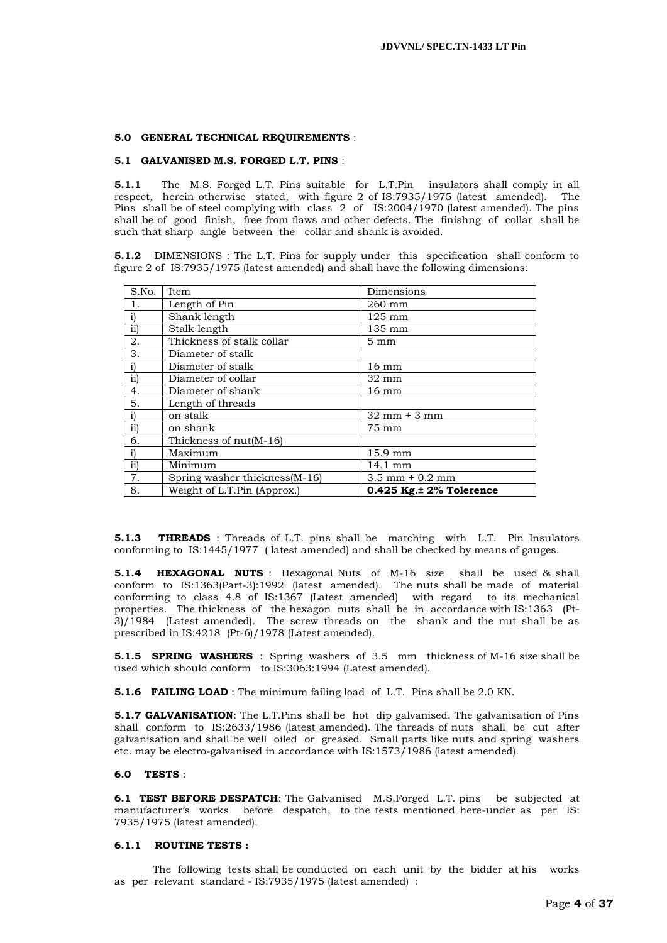#### **5.0 GENERAL TECHNICAL REQUIREMENTS** :

#### **5.1 GALVANISED M.S. FORGED L.T. PINS** :

**5.1.1** The M.S. Forged L.T. Pins suitable for L.T.Pin insulators shall comply in all respect, herein otherwise stated, with figure 2 of IS:7935/1975 (latest amended). The Pins shall be of steel complying with class 2 of IS:2004/1970 (latest amended). The pins shall be of good finish, free from flaws and other defects. The finishng of collar shall be such that sharp angle between the collar and shank is avoided.

**5.1.2** DIMENSIONS : The L.T. Pins for supply under this specification shall conform to figure 2 of IS:7935/1975 (latest amended) and shall have the following dimensions:

| S.No. | Item                           | Dimensions                        |
|-------|--------------------------------|-----------------------------------|
|       | Length of Pin                  | $260$ mm                          |
| i)    | Shank length                   | $125 \text{ mm}$                  |
| ii)   | Stalk length                   | 135 mm                            |
| 2.    | Thickness of stalk collar      | $5 \text{ mm}$                    |
| 3.    | Diameter of stalk              |                                   |
| i)    | Diameter of stalk              | $16 \text{ mm}$                   |
| ii)   | Diameter of collar             | 32 mm                             |
| 4.    | Diameter of shank              | $16 \text{ mm}$                   |
| 5.    | Length of threads              |                                   |
| i)    | on stalk                       | $32 \text{ mm} + 3 \text{ mm}$    |
| ii)   | on shank                       | 75 mm                             |
| 6.    | Thickness of nut(M-16)         |                                   |
| i)    | Maximum                        | 15.9 mm                           |
| ii)   | Minimum                        | 14.1 mm                           |
| 7.    | Spring washer thickness (M-16) | $3.5 \text{ mm} + 0.2 \text{ mm}$ |
| 8.    | Weight of L.T.Pin (Approx.)    | $0.425$ Kg. $\pm$ 2% Tolerence    |

**5.1.3 THREADS** : Threads of L.T. pins shall be matching with L.T. Pin Insulators conforming to IS:1445/1977 ( latest amended) and shall be checked by means of gauges.

**5.1.4 HEXAGONAL NUTS** : Hexagonal Nuts of M-16 size shall be used & shall conform to IS:1363(Part-3):1992 (latest amended). The nuts shall be made of material conforming to class 4.8 of IS:1367 (Latest amended) with regard to its mechanical properties. The thickness of the hexagon nuts shall be in accordance with IS:1363 (Pt- $3$ )/1984 (Latest amended). The screw threads on the shank and the nut shall be as prescribed in IS:4218 (Pt-6)/1978 (Latest amended).

**5.1.5 SPRING WASHERS** : Spring washers of 3.5 mm thickness of M-16 size shall be used which should conform to IS:3063:1994 (Latest amended).

**5.1.6 FAILING LOAD** : The minimum failing load of L.T. Pins shall be 2.0 KN.

**5.1.7 GALVANISATION**: The L.T.Pins shall be hot dip galvanised. The galvanisation of Pins shall conform to IS:2633/1986 (latest amended). The threads of nuts shall be cut after galvanisation and shall be well oiled or greased. Small parts like nuts and spring washers etc. may be electro-galvanised in accordance with IS:1573/1986 (latest amended).

#### **6.0 TESTS** :

**6.1 TEST BEFORE DESPATCH**: The Galvanised M.S.Forged L.T. pins be subjected at manufacturer"s works before despatch, to the tests mentioned here-under as per IS: 7935/1975 (latest amended).

#### **6.1.1 ROUTINE TESTS :**

 The following tests shall be conducted on each unit by the bidder at his works as per relevant standard - IS:7935/1975 (latest amended) :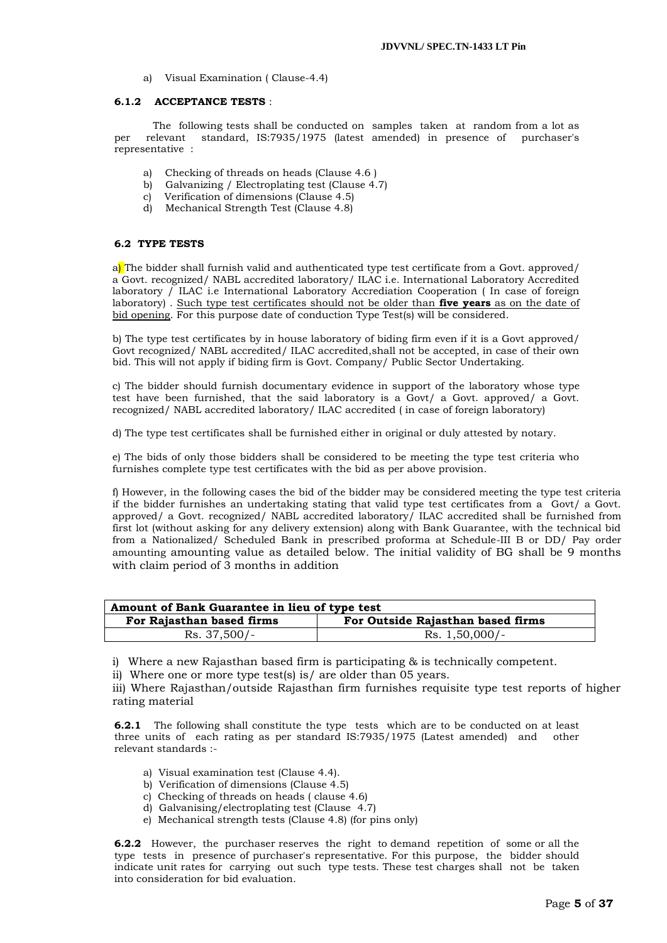a) Visual Examination ( Clause-4.4)

#### **6.1.2 ACCEPTANCE TESTS** :

 The following tests shall be conducted on samples taken at random from a lot as per relevant standard, IS:7935/1975 (latest amended) in presence of purchaser's representative :

- a) Checking of threads on heads (Clause 4.6 )
- b) Galvanizing / Electroplating test (Clause 4.7)
- c) Verification of dimensions (Clause 4.5)
- d) Mechanical Strength Test (Clause 4.8)

# **6.2 TYPE TESTS**

a) The bidder shall furnish valid and authenticated type test certificate from a Govt. approved/ a Govt. recognized/ NABL accredited laboratory/ ILAC i.e. International Laboratory Accredited laboratory / ILAC i.e International Laboratory Accrediation Cooperation ( In case of foreign laboratory) . Such type test certificates should not be older than **five years** as on the date of bid opening. For this purpose date of conduction Type Test(s) will be considered.

b) The type test certificates by in house laboratory of biding firm even if it is a Govt approved/ Govt recognized/ NABL accredited/ ILAC accredited,shall not be accepted, in case of their own bid. This will not apply if biding firm is Govt. Company/ Public Sector Undertaking.

c) The bidder should furnish documentary evidence in support of the laboratory whose type test have been furnished, that the said laboratory is a Govt/ a Govt. approved/ a Govt. recognized/ NABL accredited laboratory/ ILAC accredited ( in case of foreign laboratory)

d) The type test certificates shall be furnished either in original or duly attested by notary.

e) The bids of only those bidders shall be considered to be meeting the type test criteria who furnishes complete type test certificates with the bid as per above provision.

f) However, in the following cases the bid of the bidder may be considered meeting the type test criteria if the bidder furnishes an undertaking stating that valid type test certificates from a Govt/ a Govt. approved/ a Govt. recognized/ NABL accredited laboratory/ ILAC accredited shall be furnished from first lot (without asking for any delivery extension) along with Bank Guarantee, with the technical bid from a Nationalized/ Scheduled Bank in prescribed proforma at Schedule-III B or DD/ Pay order amounting amounting value as detailed below. The initial validity of BG shall be 9 months with claim period of 3 months in addition

| Amount of Bank Guarantee in lieu of type test                  |  |  |  |  |
|----------------------------------------------------------------|--|--|--|--|
| For Outside Rajasthan based firms<br>For Rajasthan based firms |  |  |  |  |
| Rs. 37,500/-<br>$Rs. 1,50,000/-$                               |  |  |  |  |

i) Where a new Rajasthan based firm is participating & is technically competent.

ii) Where one or more type test(s) is/ are older than 05 years.

iii) Where Rajasthan/outside Rajasthan firm furnishes requisite type test reports of higher rating material

**6.2.1** The following shall constitute the type tests which are to be conducted on at least three units of each rating as per standard IS:7935/1975 (Latest amended) and other relevant standards :-

- a) Visual examination test (Clause 4.4).
- b) Verification of dimensions (Clause 4.5)
- c) Checking of threads on heads ( clause 4.6)
- d) Galvanising/electroplating test (Clause 4.7)
- e) Mechanical strength tests (Clause 4.8) (for pins only)

**6.2.2** However, the purchaser reserves the right to demand repetition of some or all the type tests in presence of purchaser's representative. For this purpose, the bidder should indicate unit rates for carrying out such type tests. These test charges shall not be taken into consideration for bid evaluation.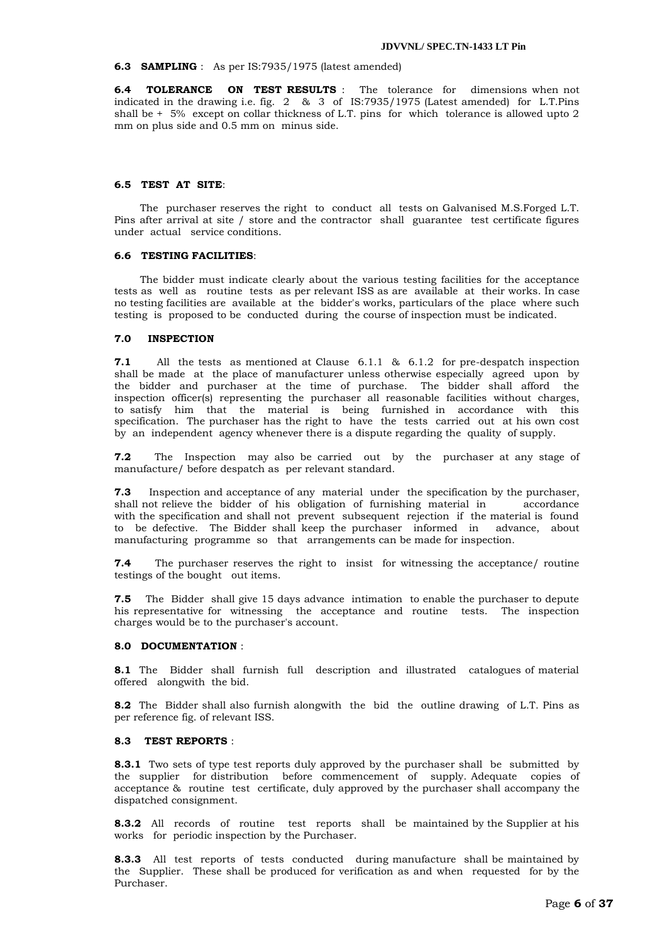#### **6.3 SAMPLING** : As per IS:7935/1975 (latest amended)

**6.4 TOLERANCE ON TEST RESULTS** : The tolerance for dimensions when not indicated in the drawing i.e. fig. 2 & 3 of IS:7935/1975 (Latest amended) for L.T.Pins shall be + 5% except on collar thickness of L.T. pins for which tolerance is allowed upto 2 mm on plus side and 0.5 mm on minus side.

#### **6.5 TEST AT SITE**:

 The purchaser reserves the right to conduct all tests on Galvanised M.S.Forged L.T. Pins after arrival at site / store and the contractor shall guarantee test certificate figures under actual service conditions.

#### **6.6 TESTING FACILITIES**:

 The bidder must indicate clearly about the various testing facilities for the acceptance tests as well as routine tests as per relevant ISS as are available at their works. In case no testing facilities are available at the bidder's works, particulars of the place where such testing is proposed to be conducted during the course of inspection must be indicated.

#### **7.0 INSPECTION**

**7.1** All the tests as mentioned at Clause 6.1.1 & 6.1.2 for pre-despatch inspection shall be made at the place of manufacturer unless otherwise especially agreed upon by the bidder and purchaser at the time of purchase. The bidder shall afford the inspection officer(s) representing the purchaser all reasonable facilities without charges, to satisfy him that the material is being furnished in accordance with this specification. The purchaser has the right to have the tests carried out at his own cost by an independent agency whenever there is a dispute regarding the quality of supply.

**7.2** The Inspection may also be carried out by the purchaser at any stage of manufacture/ before despatch as per relevant standard.

**7.3** Inspection and acceptance of any material under the specification by the purchaser, shall not relieve the bidder of his obligation of furnishing material in accordance with the specification and shall not prevent subsequent rejection if the material is found to be defective. The Bidder shall keep the purchaser informed in advance, about manufacturing programme so that arrangements can be made for inspection.

**7.4** The purchaser reserves the right to insist for witnessing the acceptance/ routine testings of the bought out items.

**7.5** The Bidder shall give 15 days advance intimation to enable the purchaser to depute his representative for witnessing the acceptance and routine tests. The inspection charges would be to the purchaser's account.

#### **8.0 DOCUMENTATION** :

**8.1** The Bidder shall furnish full description and illustrated catalogues of material offered alongwith the bid.

**8.2** The Bidder shall also furnish alongwith the bid the outline drawing of L.T. Pins as per reference fig. of relevant ISS.

### **8.3 TEST REPORTS** :

**8.3.1** Two sets of type test reports duly approved by the purchaser shall be submitted by the supplier for distribution before commencement of supply. Adequate copies of acceptance & routine test certificate, duly approved by the purchaser shall accompany the dispatched consignment.

**8.3.2** All records of routine test reports shall be maintained by the Supplier at his works for periodic inspection by the Purchaser.

**8.3.3** All test reports of tests conducted during manufacture shall be maintained by the Supplier. These shall be produced for verification as and when requested for by the Purchaser.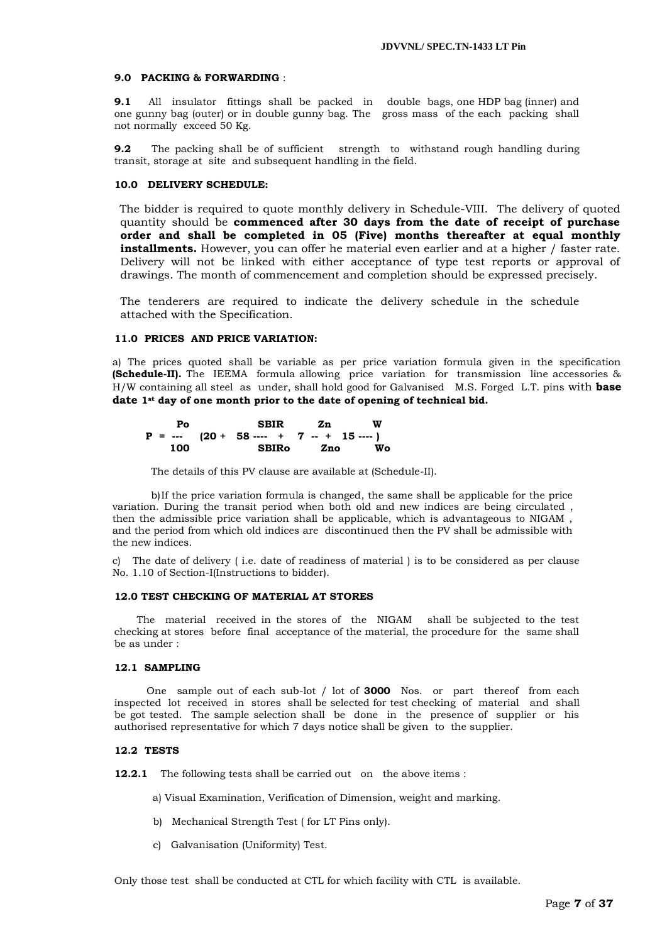#### **9.0 PACKING & FORWARDING** :

**9.1** All insulator fittings shall be packed in double bags, one HDP bag (inner) and one gunny bag (outer) or in double gunny bag. The gross mass of the each packing shall not normally exceed 50 Kg.

**9.2** The packing shall be of sufficient strength to withstand rough handling during transit, storage at site and subsequent handling in the field.

#### **10.0 DELIVERY SCHEDULE:**

 The bidder is required to quote monthly delivery in Schedule-VIII. The delivery of quoted quantity should be **commenced after 30 days from the date of receipt of purchase order and shall be completed in 05 (Five) months thereafter at equal monthly installments.** However, you can offer he material even earlier and at a higher / faster rate. Delivery will not be linked with either acceptance of type test reports or approval of drawings. The month of commencement and completion should be expressed precisely.

The tenderers are required to indicate the delivery schedule in the schedule attached with the Specification.

#### **11.0 PRICES AND PRICE VARIATION:**

a) The prices quoted shall be variable as per price variation formula given in the specification **(Schedule-II).** The IEEMA formula allowing price variation for transmission line accessories & H/W containing all steel as under, shall hold good for Galvanised M.S. Forged L.T. pins with **base date 1st day of one month prior to the date of opening of technical bid.**

| Pο                           | <b>SBIR</b>  |  | Zn zn | W      |
|------------------------------|--------------|--|-------|--------|
| $P = -20 + 58 - 17 - 15 - 1$ |              |  |       |        |
| 100                          | <b>SBIRO</b> |  |       | Zno Wo |

The details of this PV clause are available at (Schedule-II).

 b)If the price variation formula is changed, the same shall be applicable for the price variation. During the transit period when both old and new indices are being circulated , then the admissible price variation shall be applicable, which is advantageous to NIGAM , and the period from which old indices are discontinued then the PV shall be admissible with the new indices.

c) The date of delivery ( i.e. date of readiness of material ) is to be considered as per clause No. 1.10 of Section-I(Instructions to bidder).

#### **12.0 TEST CHECKING OF MATERIAL AT STORES**

 The material received in the stores of the NIGAM shall be subjected to the test checking at stores before final acceptance of the material, the procedure for the same shall be as under :

#### **12.1 SAMPLING**

 One sample out of each sub-lot / lot of **3000** Nos. or part thereof from each inspected lot received in stores shall be selected for test checking of material and shall be got tested. The sample selection shall be done in the presence of supplier or his authorised representative for which 7 days notice shall be given to the supplier.

#### **12.2 TESTS**

**12.2.1** The following tests shall be carried out on the above items:

a) Visual Examination, Verification of Dimension, weight and marking.

- b) Mechanical Strength Test ( for LT Pins only).
- c) Galvanisation (Uniformity) Test.

Only those test shall be conducted at CTL for which facility with CTL is available.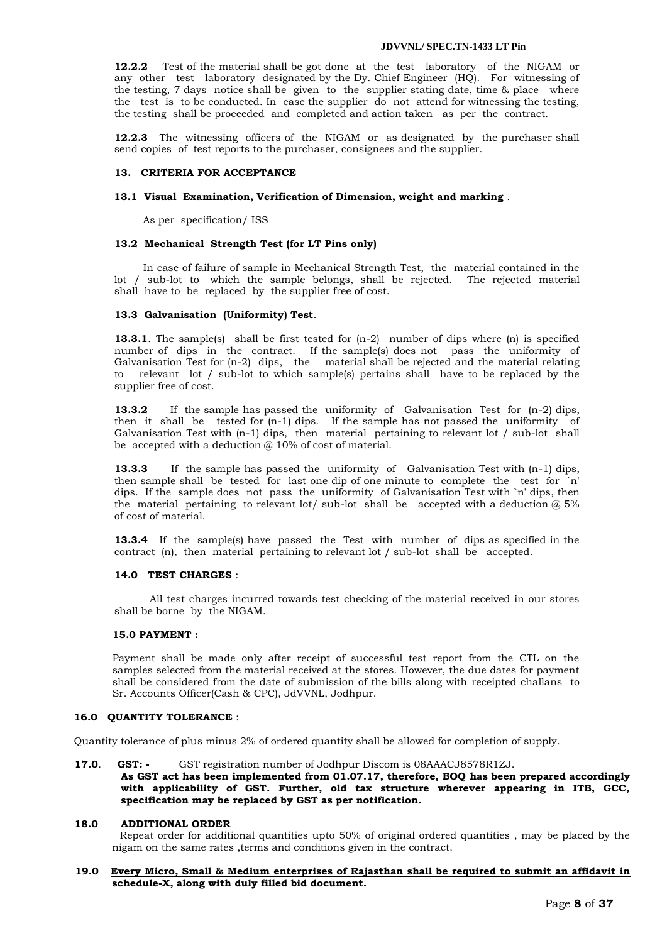**12.2.2** Test of the material shall be got done at the test laboratory of the NIGAM or any other test laboratory designated by the Dy. Chief Engineer (HQ). For witnessing of the testing, 7 days notice shall be given to the supplier stating date, time & place where the test is to be conducted. In case the supplier do not attend for witnessing the testing, the testing shall be proceeded and completed and action taken as per the contract.

**12.2.3** The witnessing officers of the NIGAM or as designated by the purchaser shall send copies of test reports to the purchaser, consignees and the supplier.

#### **13. CRITERIA FOR ACCEPTANCE**

#### **13.1 Visual Examination, Verification of Dimension, weight and marking** .

As per specification/ ISS

#### **13.2 Mechanical Strength Test (for LT Pins only)**

 In case of failure of sample in Mechanical Strength Test, the material contained in the lot / sub-lot to which the sample belongs, shall be rejected. The rejected material shall have to be replaced by the supplier free of cost.

#### **13.3 Galvanisation (Uniformity) Test**.

**13.3.1**. The sample(s) shall be first tested for  $(n-2)$  number of dips where  $(n)$  is specified number of dips in the contract. If the sample(s) does not pass the uniformity of Galvanisation Test for (n-2) dips, the material shall be rejected and the material relating to relevant lot / sub-lot to which sample(s) pertains shall have to be replaced by the supplier free of cost.

**13.3.2** If the sample has passed the uniformity of Galvanisation Test for (n-2) dips, then it shall be tested for (n-1) dips. If the sample has not passed the uniformity of Galvanisation Test with  $(n-1)$  dips, then material pertaining to relevant lot / sub-lot shall be accepted with a deduction  $\omega$  10% of cost of material.

**13.3.3** If the sample has passed the uniformity of Galvanisation Test with (n-1) dips, then sample shall be tested for last one dip of one minute to complete the test for `n' dips. If the sample does not pass the uniformity of Galvanisation Test with `n' dips, then the material pertaining to relevant lot/ sub-lot shall be accepted with a deduction  $@$  5% of cost of material.

**13.3.4** If the sample(s) have passed the Test with number of dips as specified in the contract (n), then material pertaining to relevant lot / sub-lot shall be accepted.

#### **14.0 TEST CHARGES** :

 All test charges incurred towards test checking of the material received in our stores shall be borne by the NIGAM.

#### **15.0 PAYMENT :**

Payment shall be made only after receipt of successful test report from the CTL on the samples selected from the material received at the stores. However, the due dates for payment shall be considered from the date of submission of the bills along with receipted challans to Sr. Accounts Officer(Cash & CPC), JdVVNL, Jodhpur.

### **16.0 QUANTITY TOLERANCE** :

Quantity tolerance of plus minus 2% of ordered quantity shall be allowed for completion of supply.

 **17.0**. **GST: -** GST registration number of Jodhpur Discom is 08AAACJ8578R1ZJ.

**As GST act has been implemented from 01.07.17, therefore, BOQ has been prepared accordingly with applicability of GST. Further, old tax structure wherever appearing in ITB, GCC, specification may be replaced by GST as per notification.**

#### **18.0 ADDITIONAL ORDER**

 Repeat order for additional quantities upto 50% of original ordered quantities , may be placed by the nigam on the same rates ,terms and conditions given in the contract.

#### **19.0 Every Micro, Small & Medium enterprises of Rajasthan shall be required to submit an affidavit in schedule-X, along with duly filled bid document.**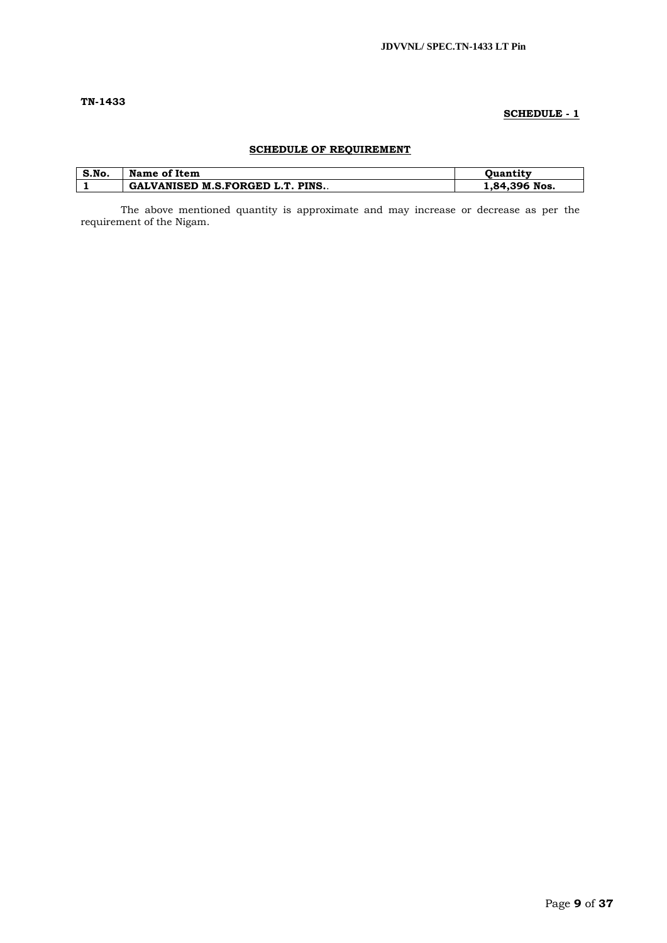# **TN-1433**

# **SCHEDULE - 1**

# **SCHEDULE OF REQUIREMENT**

| S.No. | Name of Item                            | Ouantitv      |
|-------|-----------------------------------------|---------------|
|       | <b>GALVANISED M.S.FORGED L.T. PINS.</b> | 1,84,396 Nos. |

The above mentioned quantity is approximate and may increase or decrease as per the requirement of the Nigam.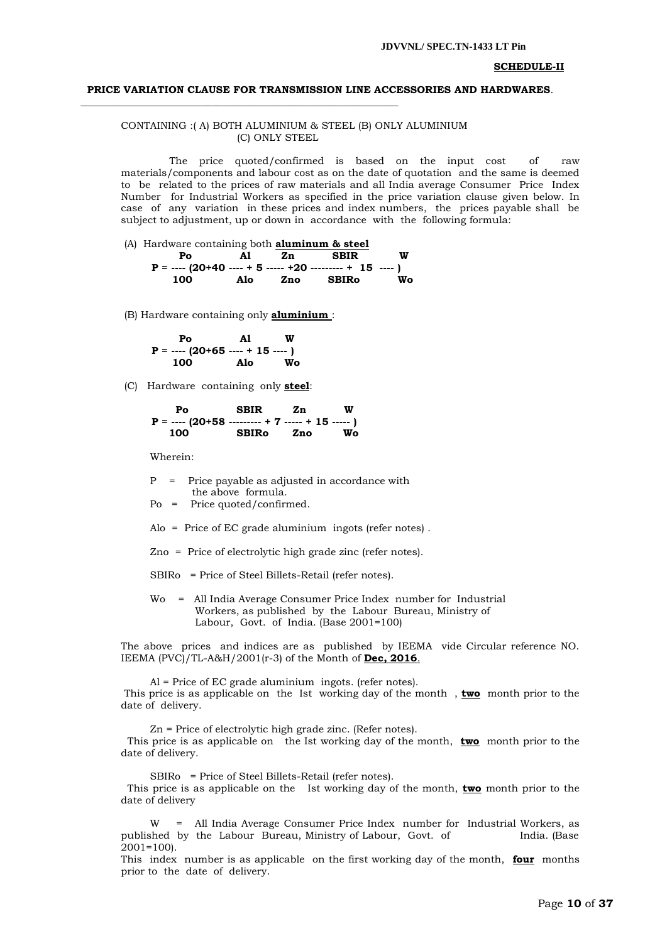#### **SCHEDULE-II**

#### **PRICE VARIATION CLAUSE FOR TRANSMISSION LINE ACCESSORIES AND HARDWARES**.

#### CONTAINING :( A) BOTH ALUMINIUM & STEEL (B) ONLY ALUMINIUM (C) ONLY STEEL

 The price quoted/confirmed is based on the input cost of raw materials/components and labour cost as on the date of quotation and the same is deemed to be related to the prices of raw materials and all India average Consumer Price Index Number for Industrial Workers as specified in the price variation clause given below. In case of any variation in these prices and index numbers, the prices payable shall be subject to adjustment, up or down in accordance with the following formula:

(A) Hardware containing both **aluminum & steel Po Al Zn SBIR W P = ---- (20+40 ---- + 5 ----- +20 --------- + 15 ---- ) 100 Alo Zno SBIRo Wo**

(B) Hardware containing only **aluminium** :

**\_\_\_\_\_\_\_\_\_\_\_\_\_\_\_\_\_\_\_\_\_\_\_\_\_\_\_\_\_\_\_\_\_\_\_\_\_\_\_\_\_\_\_\_\_\_\_\_\_\_\_\_\_\_\_\_\_\_\_\_\_\_\_**

 **Po Al W P = ---- (20+65 ---- + 15 ---- ) Alo** 

(C) Hardware containing only **steel**:

 **Po SBIR Zn W P = ---- (20+58 --------- + 7 ----- + 15 ----- ) 100 SBIRo Zno Wo**

Wherein:

- P = Price payable as adjusted in accordance with the above formula.
- Po = Price quoted/confirmed.
- Alo = Price of EC grade aluminium ingots (refer notes) .
- Zno = Price of electrolytic high grade zinc (refer notes).
- SBIRo = Price of Steel Billets-Retail (refer notes).
- Wo = All India Average Consumer Price Index number for Industrial Workers, as published by the Labour Bureau, Ministry of Labour, Govt. of India. (Base 2001=100)

The above prices and indices are as published by IEEMA vide Circular reference NO. IEEMA (PVC)/TL-A&H/2001(r-3) of the Month of **Dec, 2016**.

 Al = Price of EC grade aluminium ingots. (refer notes). This price is as applicable on the Ist working day of the month , **two** month prior to the date of delivery.

 Zn = Price of electrolytic high grade zinc. (Refer notes). This price is as applicable on the Ist working day of the month, **two** month prior to the date of delivery.

SBIRo = Price of Steel Billets-Retail (refer notes).

 This price is as applicable on the Ist working day of the month, **two** month prior to the date of delivery

 W = All India Average Consumer Price Index number for Industrial Workers, as published by the Labour Bureau, Ministry of Labour, Govt. of India. (Base  $2001 = 100$ 

This index number is as applicable on the first working day of the month, **four** months prior to the date of delivery.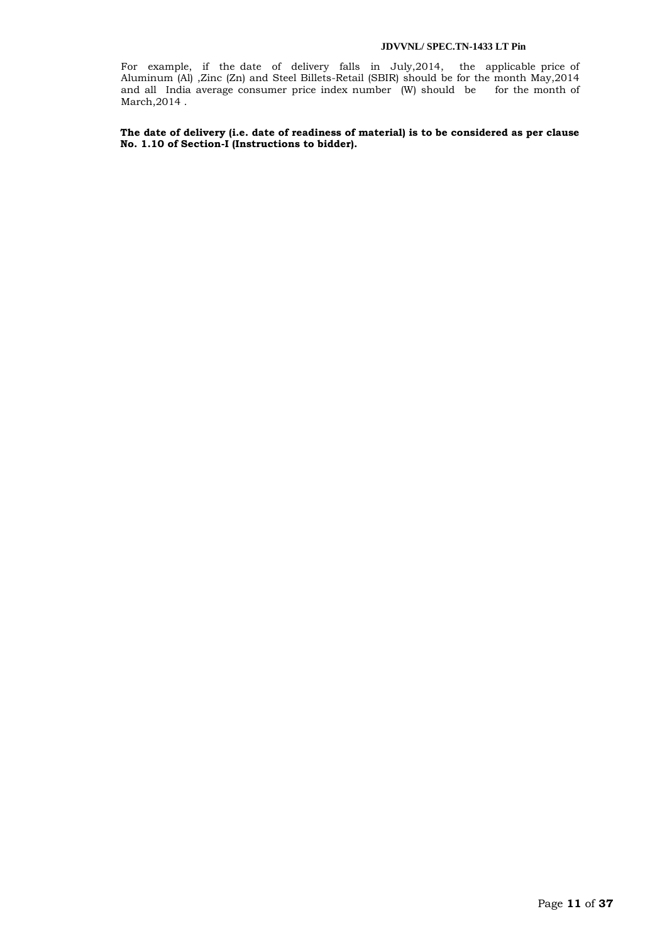For example, if the date of delivery falls in July,2014, the applicable price of Aluminum (Al) ,Zinc (Zn) and Steel Billets-Retail (SBIR) should be for the month May,2014 and all India average consumer price index number (W) should be for the month of March,2014 .

**The date of delivery (i.e. date of readiness of material) is to be considered as per clause No. 1.10 of Section-I (Instructions to bidder).**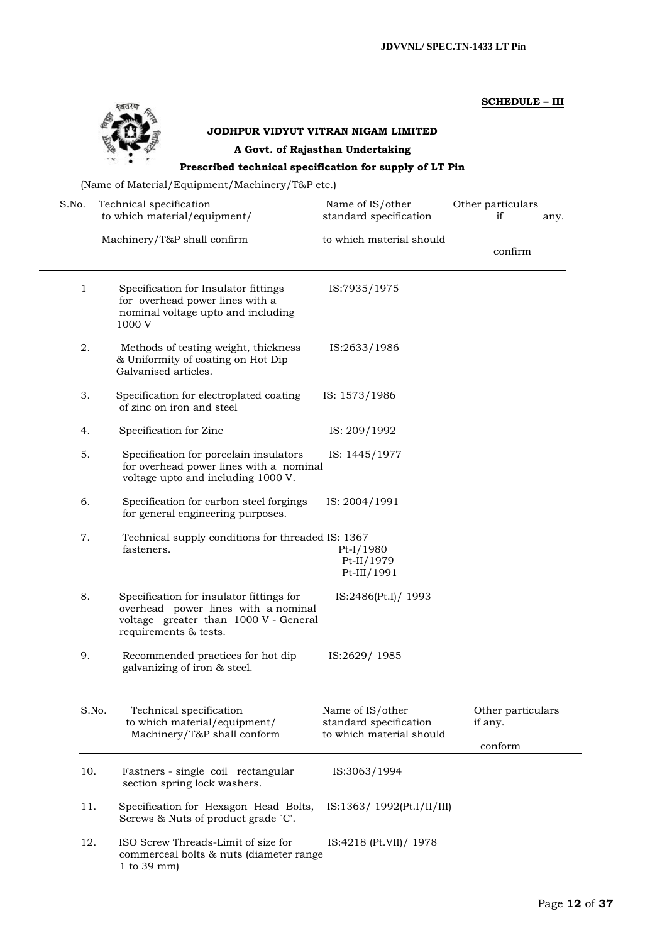# **SCHEDULE – III**



# **JODHPUR VIDYUT VITRAN NIGAM LIMITED**

# **A Govt. of Rajasthan Undertaking**

# **Prescribed technical specification for supply of LT Pin**

(Name of Material/Equipment/Machinery/T&P etc.)

| S.No. | Technical specification                                                                                                                           | Name of IS/other                                                       | Other particulars                       |
|-------|---------------------------------------------------------------------------------------------------------------------------------------------------|------------------------------------------------------------------------|-----------------------------------------|
|       | to which material/equipment/                                                                                                                      | standard specification                                                 | if<br>any.                              |
|       | Machinery/T&P shall confirm                                                                                                                       | to which material should                                               | confirm                                 |
| 1     | Specification for Insulator fittings<br>for overhead power lines with a<br>nominal voltage upto and including<br>1000 V                           | IS:7935/1975                                                           |                                         |
| 2.    | Methods of testing weight, thickness<br>& Uniformity of coating on Hot Dip<br>Galvanised articles.                                                | IS:2633/1986                                                           |                                         |
| 3.    | Specification for electroplated coating<br>of zinc on iron and steel                                                                              | IS: 1573/1986                                                          |                                         |
| 4.    | Specification for Zinc                                                                                                                            | IS: 209/1992                                                           |                                         |
| 5.    | Specification for porcelain insulators<br>for overhead power lines with a nominal<br>voltage upto and including 1000 V.                           | IS: 1445/1977                                                          |                                         |
| 6.    | Specification for carbon steel forgings<br>for general engineering purposes.                                                                      | IS: 2004/1991                                                          |                                         |
| 7.    | Technical supply conditions for threaded IS: 1367<br>fasteners.                                                                                   | Pt-I/1980<br>$Pt-II/1979$<br>Pt-III/1991                               |                                         |
| 8.    | Specification for insulator fittings for<br>overhead power lines with a nominal<br>voltage greater than 1000 V - General<br>requirements & tests. | IS:2486(Pt.I)/ 1993                                                    |                                         |
| 9.    | Recommended practices for hot dip<br>galvanizing of iron & steel.                                                                                 | IS:2629/1985                                                           |                                         |
| S.No. | Technical specification<br>to which material/equipment/<br>Machinery/T&P shall conform                                                            | Name of IS/other<br>standard specification<br>to which material should | Other particulars<br>if any.<br>conform |
| 10.   | Fastners - single coil rectangular<br>section spring lock washers.                                                                                | IS:3063/1994                                                           |                                         |
| 11.   | Specification for Hexagon Head Bolts,<br>Screws & Nuts of product grade `C'.                                                                      | IS:1363/1992(Pt.I/II/III)                                              |                                         |
| 12.   | ISO Screw Threads-Limit of size for<br>commerceal bolts & nuts (diameter range<br>1 to $39 \text{ mm}$ )                                          | IS:4218 (Pt.VII)/ 1978                                                 |                                         |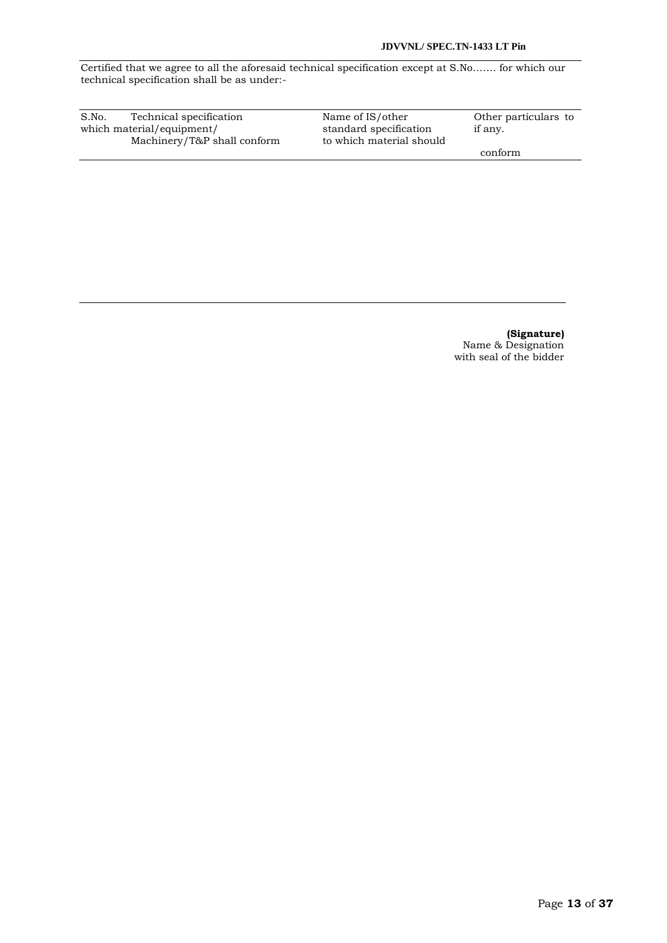Certified that we agree to all the aforesaid technical specification except at S.No……. for which our technical specification shall be as under:-

| S.No.                     | Technical specification     | Name of IS/other         | Other particulars to |
|---------------------------|-----------------------------|--------------------------|----------------------|
| which material/equipment/ |                             | standard specification   | if any.              |
|                           | Machinery/T&P shall conform | to which material should |                      |
|                           |                             |                          | conform              |

**(Signature)** Name & Designation with seal of the bidder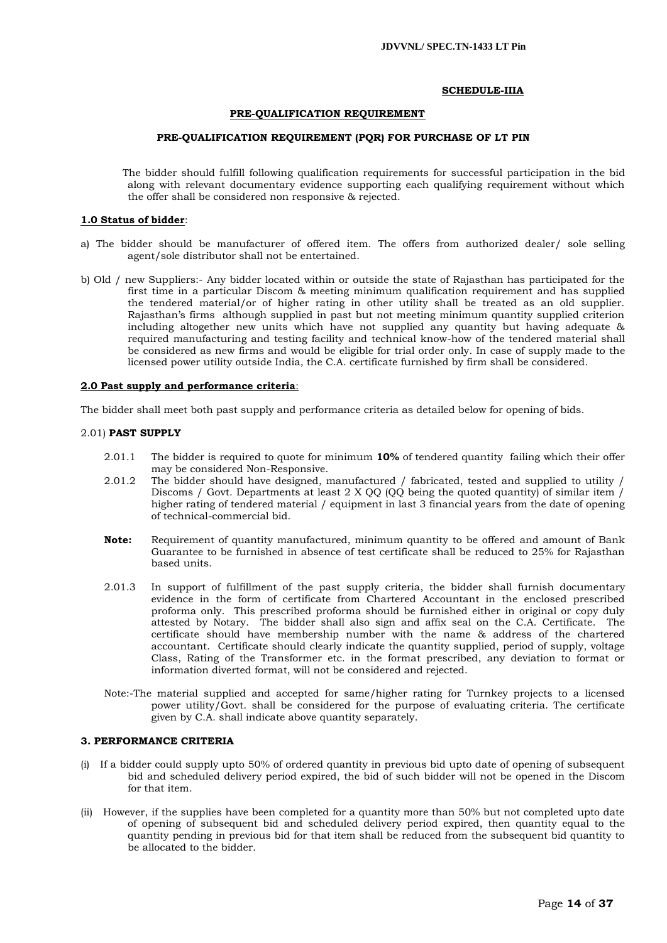#### **SCHEDULE-IIIA**

#### **PRE-QUALIFICATION REQUIREMENT**

#### **PRE-QUALIFICATION REQUIREMENT (PQR) FOR PURCHASE OF LT PIN**

 The bidder should fulfill following qualification requirements for successful participation in the bid along with relevant documentary evidence supporting each qualifying requirement without which the offer shall be considered non responsive & rejected.

#### **1.0 Status of bidder**:

- a) The bidder should be manufacturer of offered item. The offers from authorized dealer/ sole selling agent/sole distributor shall not be entertained.
- b) Old / new Suppliers:- Any bidder located within or outside the state of Rajasthan has participated for the first time in a particular Discom & meeting minimum qualification requirement and has supplied the tendered material/or of higher rating in other utility shall be treated as an old supplier. Rajasthan"s firms although supplied in past but not meeting minimum quantity supplied criterion including altogether new units which have not supplied any quantity but having adequate & required manufacturing and testing facility and technical know-how of the tendered material shall be considered as new firms and would be eligible for trial order only. In case of supply made to the licensed power utility outside India, the C.A. certificate furnished by firm shall be considered.

#### **2.0 Past supply and performance criteria**:

The bidder shall meet both past supply and performance criteria as detailed below for opening of bids.

#### 2.01) **PAST SUPPLY**

- 2.01.1 The bidder is required to quote for minimum **10%** of tendered quantity failing which their offer may be considered Non-Responsive.
- 2.01.2 The bidder should have designed, manufactured / fabricated, tested and supplied to utility / Discoms / Govt. Departments at least 2 X QQ (QQ being the quoted quantity) of similar item / higher rating of tendered material / equipment in last 3 financial years from the date of opening of technical-commercial bid.
- **Note:** Requirement of quantity manufactured, minimum quantity to be offered and amount of Bank Guarantee to be furnished in absence of test certificate shall be reduced to 25% for Rajasthan based units.
- 2.01.3 In support of fulfillment of the past supply criteria, the bidder shall furnish documentary evidence in the form of certificate from Chartered Accountant in the enclosed prescribed proforma only. This prescribed proforma should be furnished either in original or copy duly attested by Notary. The bidder shall also sign and affix seal on the C.A. Certificate. The certificate should have membership number with the name & address of the chartered accountant. Certificate should clearly indicate the quantity supplied, period of supply, voltage Class, Rating of the Transformer etc. in the format prescribed, any deviation to format or information diverted format, will not be considered and rejected.
- Note:-The material supplied and accepted for same/higher rating for Turnkey projects to a licensed power utility/Govt. shall be considered for the purpose of evaluating criteria. The certificate given by C.A. shall indicate above quantity separately.

# **3. PERFORMANCE CRITERIA**

- (i) If a bidder could supply upto 50% of ordered quantity in previous bid upto date of opening of subsequent bid and scheduled delivery period expired, the bid of such bidder will not be opened in the Discom for that item.
- (ii) However, if the supplies have been completed for a quantity more than 50% but not completed upto date of opening of subsequent bid and scheduled delivery period expired, then quantity equal to the quantity pending in previous bid for that item shall be reduced from the subsequent bid quantity to be allocated to the bidder.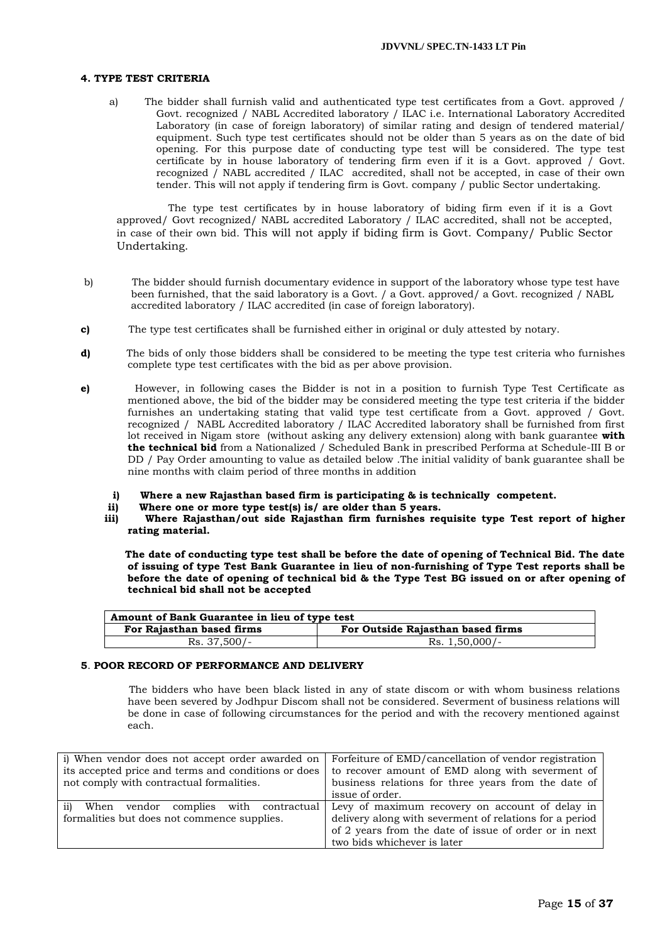#### **4. TYPE TEST CRITERIA**

a) The bidder shall furnish valid and authenticated type test certificates from a Govt. approved / Govt. recognized / NABL Accredited laboratory / ILAC i.e. International Laboratory Accredited Laboratory (in case of foreign laboratory) of similar rating and design of tendered material/ equipment. Such type test certificates should not be older than 5 years as on the date of bid opening. For this purpose date of conducting type test will be considered. The type test certificate by in house laboratory of tendering firm even if it is a Govt. approved  $\overrightarrow{)}$  Govt. recognized / NABL accredited / ILAC accredited, shall not be accepted, in case of their own tender. This will not apply if tendering firm is Govt. company / public Sector undertaking.

 The type test certificates by in house laboratory of biding firm even if it is a Govt approved/ Govt recognized/ NABL accredited Laboratory / ILAC accredited, shall not be accepted, in case of their own bid. This will not apply if biding firm is Govt. Company/ Public Sector Undertaking.

- b) The bidder should furnish documentary evidence in support of the laboratory whose type test have been furnished, that the said laboratory is a Govt. / a Govt. approved/ a Govt. recognized / NABL accredited laboratory / ILAC accredited (in case of foreign laboratory).
- **c)** The type test certificates shall be furnished either in original or duly attested by notary.
- **d)** The bids of only those bidders shall be considered to be meeting the type test criteria who furnishes complete type test certificates with the bid as per above provision.
- **e)** However, in following cases the Bidder is not in a position to furnish Type Test Certificate as mentioned above, the bid of the bidder may be considered meeting the type test criteria if the bidder furnishes an undertaking stating that valid type test certificate from a Govt. approved / Govt. recognized / NABL Accredited laboratory / ILAC Accredited laboratory shall be furnished from first lot received in Nigam store (without asking any delivery extension) along with bank guarantee **with the technical bid** from a Nationalized / Scheduled Bank in prescribed Performa at Schedule-III B or DD / Pay Order amounting to value as detailed below . The initial validity of bank guarantee shall be nine months with claim period of three months in addition
	- **i) Where a new Rajasthan based firm is participating & is technically competent.**
	- Where one or more type test(s) is/ are older than 5 years.
	- **iii) Where Rajasthan/out side Rajasthan firm furnishes requisite type Test report of higher rating material.**

 **The date of conducting type test shall be before the date of opening of Technical Bid. The date of issuing of type Test Bank Guarantee in lieu of non-furnishing of Type Test reports shall be before the date of opening of technical bid & the Type Test BG issued on or after opening of technical bid shall not be accepted**

| Amount of Bank Guarantee in lieu of type test |                                   |  |  |  |
|-----------------------------------------------|-----------------------------------|--|--|--|
| For Rajasthan based firms                     | For Outside Rajasthan based firms |  |  |  |
| $Rs. 37,500/-$                                | Rs. 1,50,000/-                    |  |  |  |

#### **5**. **POOR RECORD OF PERFORMANCE AND DELIVERY**

 The bidders who have been black listed in any of state discom or with whom business relations have been severed by Jodhpur Discom shall not be considered. Severment of business relations will be done in case of following circumstances for the period and with the recovery mentioned against each.

| i) When vendor does not accept order awarded on          | Forfeiture of EMD/cancellation of vendor registration   |
|----------------------------------------------------------|---------------------------------------------------------|
| its accepted price and terms and conditions or does      | to recover amount of EMD along with severment of        |
| not comply with contractual formalities.                 | business relations for three years from the date of     |
|                                                          | issue of order.                                         |
|                                                          |                                                         |
| $\overline{11}$<br>When vendor complies with contractual | Levy of maximum recovery on account of delay in         |
| formalities but does not commence supplies.              | delivery along with severment of relations for a period |
|                                                          | of 2 years from the date of issue of order or in next   |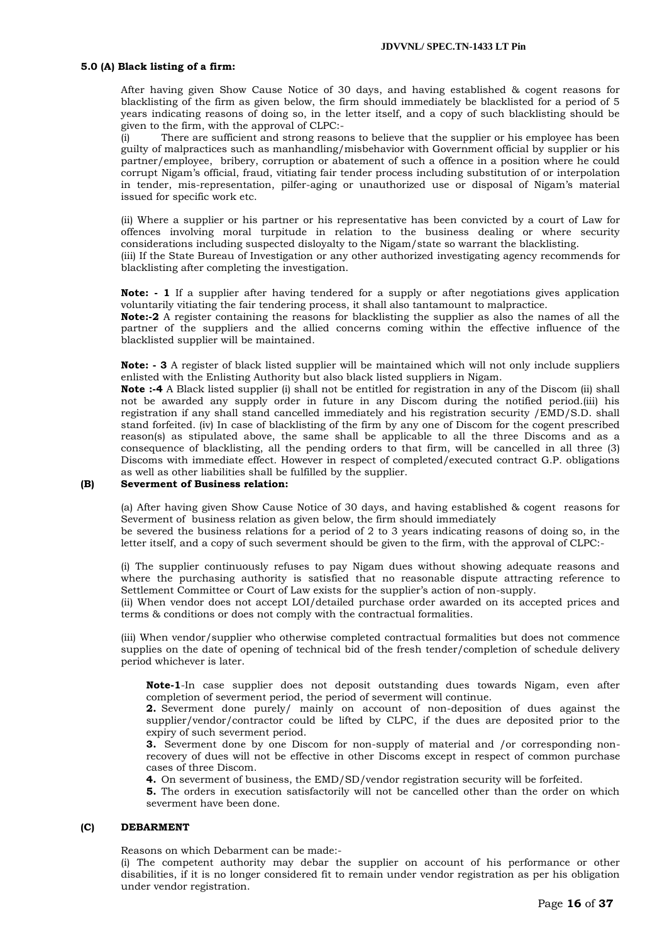#### **5.0 (A) Black listing of a firm:**

After having given Show Cause Notice of 30 days, and having established & cogent reasons for blacklisting of the firm as given below, the firm should immediately be blacklisted for a period of 5 years indicating reasons of doing so, in the letter itself, and a copy of such blacklisting should be given to the firm, with the approval of CLPC:-

(i) There are sufficient and strong reasons to believe that the supplier or his employee has been guilty of malpractices such as manhandling/misbehavior with Government official by supplier or his partner/employee, bribery, corruption or abatement of such a offence in a position where he could corrupt Nigam"s official, fraud, vitiating fair tender process including substitution of or interpolation in tender, mis-representation, pilfer-aging or unauthorized use or disposal of Nigam"s material issued for specific work etc.

(ii) Where a supplier or his partner or his representative has been convicted by a court of Law for offences involving moral turpitude in relation to the business dealing or where security considerations including suspected disloyalty to the Nigam/state so warrant the blacklisting. (iii) If the State Bureau of Investigation or any other authorized investigating agency recommends for blacklisting after completing the investigation.

**Note:** - 1 If a supplier after having tendered for a supply or after negotiations gives application voluntarily vitiating the fair tendering process, it shall also tantamount to malpractice.

**Note:-2** A register containing the reasons for blacklisting the supplier as also the names of all the partner of the suppliers and the allied concerns coming within the effective influence of the blacklisted supplier will be maintained.

**Note: - 3** A register of black listed supplier will be maintained which will not only include suppliers enlisted with the Enlisting Authority but also black listed suppliers in Nigam.

**Note :-4** A Black listed supplier (i) shall not be entitled for registration in any of the Discom (ii) shall not be awarded any supply order in future in any Discom during the notified period.(iii) his registration if any shall stand cancelled immediately and his registration security /EMD/S.D. shall stand forfeited. (iv) In case of blacklisting of the firm by any one of Discom for the cogent prescribed reason(s) as stipulated above, the same shall be applicable to all the three Discoms and as a consequence of blacklisting, all the pending orders to that firm, will be cancelled in all three (3) Discoms with immediate effect. However in respect of completed/executed contract G.P. obligations as well as other liabilities shall be fulfilled by the supplier.

# **(B) Severment of Business relation:**

(a) After having given Show Cause Notice of 30 days, and having established & cogent reasons for Severment of business relation as given below, the firm should immediately be severed the business relations for a period of 2 to 3 years indicating reasons of doing so, in the

letter itself, and a copy of such severment should be given to the firm, with the approval of CLPC:-

(i) The supplier continuously refuses to pay Nigam dues without showing adequate reasons and where the purchasing authority is satisfied that no reasonable dispute attracting reference to Settlement Committee or Court of Law exists for the supplier"s action of non-supply.

(ii) When vendor does not accept LOI/detailed purchase order awarded on its accepted prices and terms & conditions or does not comply with the contractual formalities.

(iii) When vendor/supplier who otherwise completed contractual formalities but does not commence supplies on the date of opening of technical bid of the fresh tender/completion of schedule delivery period whichever is later.

**Note-1**-In case supplier does not deposit outstanding dues towards Nigam, even after completion of severment period, the period of severment will continue.

**2.** Severment done purely/ mainly on account of non-deposition of dues against the supplier/vendor/contractor could be lifted by CLPC, if the dues are deposited prior to the expiry of such severment period.

**3.** Severment done by one Discom for non-supply of material and /or corresponding nonrecovery of dues will not be effective in other Discoms except in respect of common purchase cases of three Discom.

**4.** On severment of business, the EMD/SD/vendor registration security will be forfeited.

**5.** The orders in execution satisfactorily will not be cancelled other than the order on which severment have been done.

#### **(C) DEBARMENT**

Reasons on which Debarment can be made:-

(i) The competent authority may debar the supplier on account of his performance or other disabilities, if it is no longer considered fit to remain under vendor registration as per his obligation under vendor registration.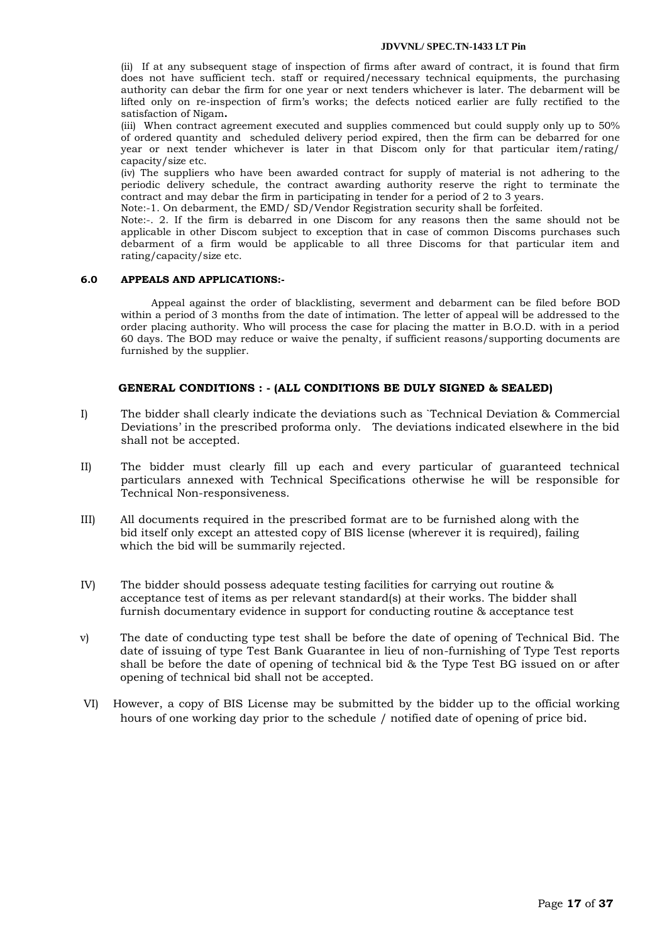(ii) If at any subsequent stage of inspection of firms after award of contract, it is found that firm does not have sufficient tech. staff or required/necessary technical equipments, the purchasing authority can debar the firm for one year or next tenders whichever is later. The debarment will be lifted only on re-inspection of firm"s works; the defects noticed earlier are fully rectified to the satisfaction of Nigam**.** 

(iii) When contract agreement executed and supplies commenced but could supply only up to 50% of ordered quantity and scheduled delivery period expired, then the firm can be debarred for one year or next tender whichever is later in that Discom only for that particular item/rating/ capacity/size etc.

(iv) The suppliers who have been awarded contract for supply of material is not adhering to the periodic delivery schedule, the contract awarding authority reserve the right to terminate the contract and may debar the firm in participating in tender for a period of 2 to 3 years.

Note:-1. On debarment, the EMD/ SD/Vendor Registration security shall be forfeited.

Note:-. 2. If the firm is debarred in one Discom for any reasons then the same should not be applicable in other Discom subject to exception that in case of common Discoms purchases such debarment of a firm would be applicable to all three Discoms for that particular item and rating/capacity/size etc.

### **6.0 APPEALS AND APPLICATIONS:-**

Appeal against the order of blacklisting, severment and debarment can be filed before BOD within a period of 3 months from the date of intimation. The letter of appeal will be addressed to the order placing authority. Who will process the case for placing the matter in B.O.D. with in a period 60 days. The BOD may reduce or waive the penalty, if sufficient reasons/supporting documents are furnished by the supplier.

# **GENERAL CONDITIONS : - (ALL CONDITIONS BE DULY SIGNED & SEALED)**

- I) The bidder shall clearly indicate the deviations such as `Technical Deviation & Commercial Deviations" in the prescribed proforma only. The deviations indicated elsewhere in the bid shall not be accepted.
- II) The bidder must clearly fill up each and every particular of guaranteed technical particulars annexed with Technical Specifications otherwise he will be responsible for Technical Non-responsiveness.
- III) All documents required in the prescribed format are to be furnished along with the bid itself only except an attested copy of BIS license (wherever it is required), failing which the bid will be summarily rejected.
- IV) The bidder should possess adequate testing facilities for carrying out routine & acceptance test of items as per relevant standard(s) at their works. The bidder shall furnish documentary evidence in support for conducting routine & acceptance test
- v) The date of conducting type test shall be before the date of opening of Technical Bid. The date of issuing of type Test Bank Guarantee in lieu of non-furnishing of Type Test reports shall be before the date of opening of technical bid & the Type Test BG issued on or after opening of technical bid shall not be accepted.
- VI) However, a copy of BIS License may be submitted by the bidder up to the official working hours of one working day prior to the schedule / notified date of opening of price bid.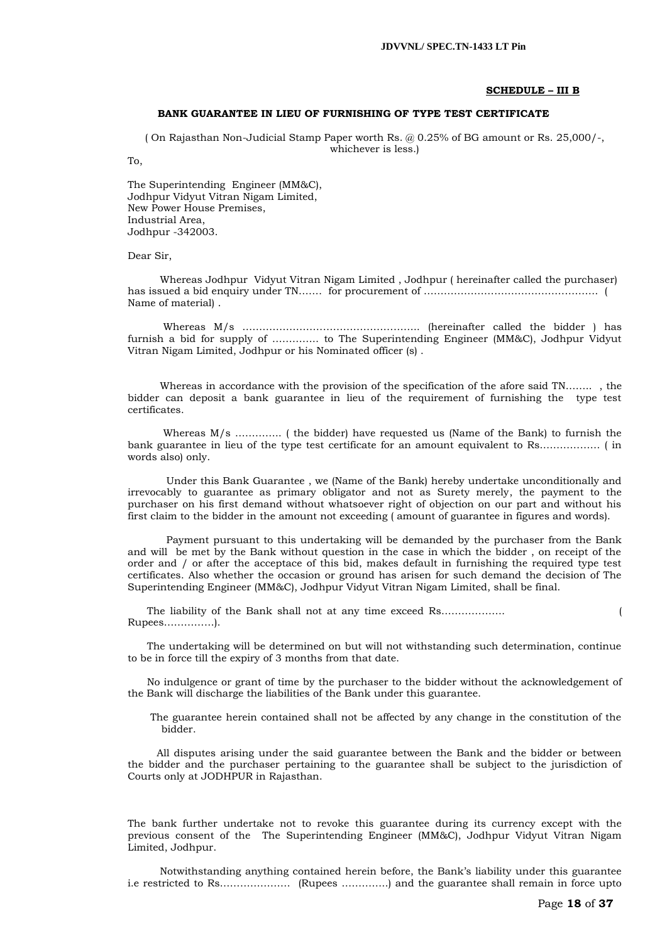#### **SCHEDULE – III B**

#### **BANK GUARANTEE IN LIEU OF FURNISHING OF TYPE TEST CERTIFICATE**

( On Rajasthan Non-Judicial Stamp Paper worth Rs. @ 0.25% of BG amount or Rs. 25,000/-, whichever is less.)

To,

The Superintending Engineer (MM&C), Jodhpur Vidyut Vitran Nigam Limited, New Power House Premises, Industrial Area, Jodhpur -342003.

Dear Sir,

 Whereas Jodhpur Vidyut Vitran Nigam Limited , Jodhpur ( hereinafter called the purchaser) has issued a bid enquiry under TN……. for procurement of ……………………………………………. ( Name of material) .

 Whereas M/s …………………………………………….. (hereinafter called the bidder ) has furnish a bid for supply of ………….. to The Superintending Engineer (MM&C), Jodhpur Vidyut Vitran Nigam Limited, Jodhpur or his Nominated officer (s) .

 Whereas in accordance with the provision of the specification of the afore said TN…….. , the bidder can deposit a bank guarantee in lieu of the requirement of furnishing the type test certificates.

 Whereas M/s ………….. ( the bidder) have requested us (Name of the Bank) to furnish the bank guarantee in lieu of the type test certificate for an amount equivalent to Rs……………… ( in words also) only.

 Under this Bank Guarantee , we (Name of the Bank) hereby undertake unconditionally and irrevocably to guarantee as primary obligator and not as Surety merely, the payment to the purchaser on his first demand without whatsoever right of objection on our part and without his first claim to the bidder in the amount not exceeding ( amount of guarantee in figures and words).

 Payment pursuant to this undertaking will be demanded by the purchaser from the Bank and will be met by the Bank without question in the case in which the bidder , on receipt of the order and / or after the acceptace of this bid, makes default in furnishing the required type test certificates. Also whether the occasion or ground has arisen for such demand the decision of The Superintending Engineer (MM&C), Jodhpur Vidyut Vitran Nigam Limited, shall be final.

 The liability of the Bank shall not at any time exceed Rs………………. ( Rupees……………).

 The undertaking will be determined on but will not withstanding such determination, continue to be in force till the expiry of 3 months from that date.

 No indulgence or grant of time by the purchaser to the bidder without the acknowledgement of the Bank will discharge the liabilities of the Bank under this guarantee.

 The guarantee herein contained shall not be affected by any change in the constitution of the bidder.

 All disputes arising under the said guarantee between the Bank and the bidder or between the bidder and the purchaser pertaining to the guarantee shall be subject to the jurisdiction of Courts only at JODHPUR in Rajasthan.

The bank further undertake not to revoke this guarantee during its currency except with the previous consent of the The Superintending Engineer (MM&C), Jodhpur Vidyut Vitran Nigam Limited, Jodhpur.

 Notwithstanding anything contained herein before, the Bank"s liability under this guarantee i.e restricted to Rs………………… (Rupees …………..) and the guarantee shall remain in force upto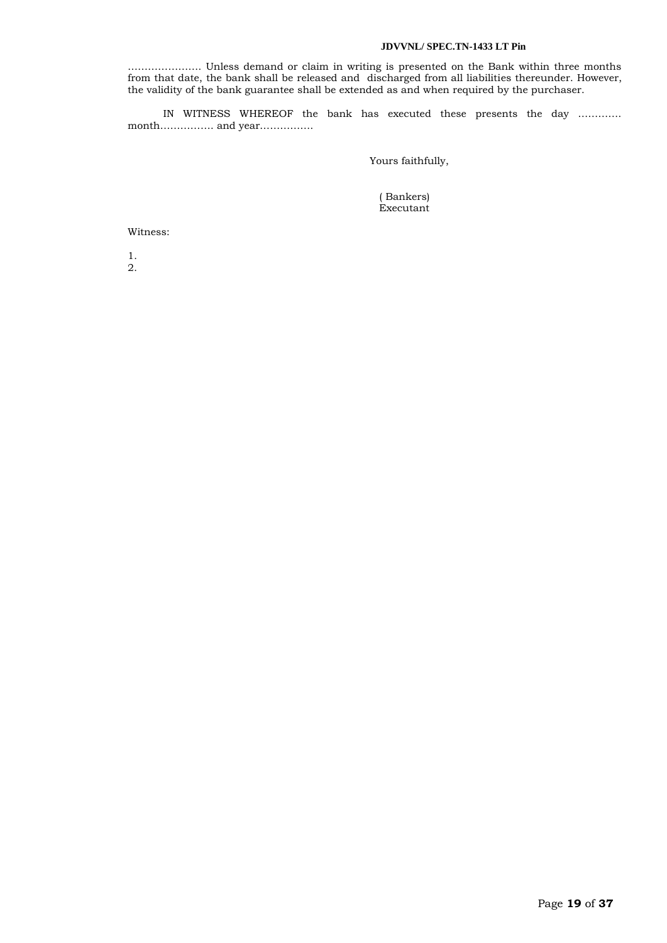…………………. Unless demand or claim in writing is presented on the Bank within three months from that date, the bank shall be released and discharged from all liabilities thereunder. However, the validity of the bank guarantee shall be extended as and when required by the purchaser.

 IN WITNESS WHEREOF the bank has executed these presents the day …………. month……………. and year…………….

Yours faithfully,

 ( Bankers) Executant

Witness:

1. 2.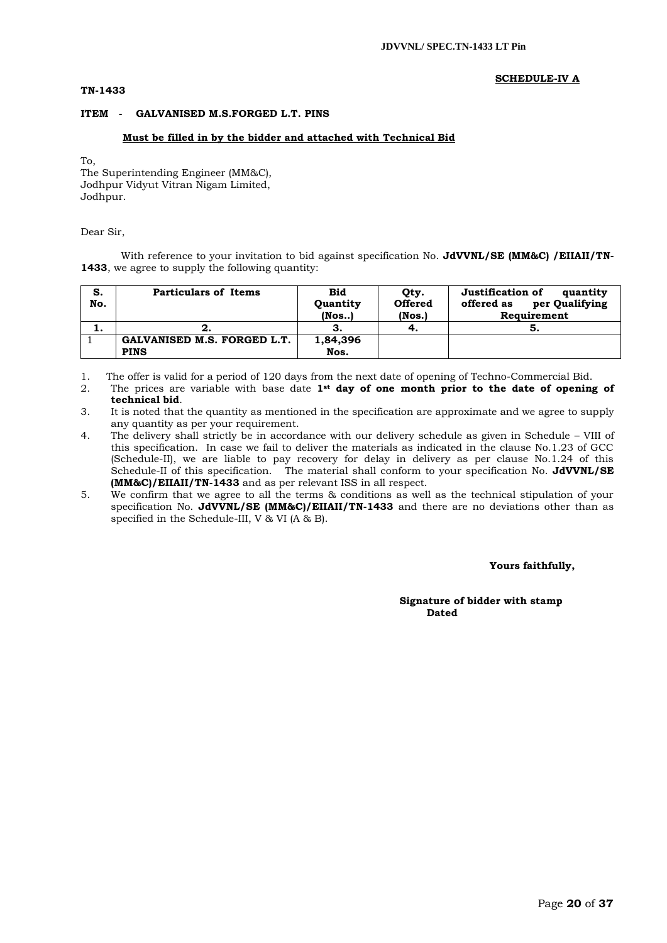#### **TN-1433**

#### **SCHEDULE-IV A**

### **ITEM - GALVANISED M.S.FORGED L.T. PINS**

#### **Must be filled in by the bidder and attached with Technical Bid**

To,

The Superintending Engineer (MM&C), Jodhpur Vidyut Vitran Nigam Limited, Jodhpur.

#### Dear Sir,

With reference to your invitation to bid against specification No. **JdVVNL/SE (MM&C) /EIIAII/TN-1433**, we agree to supply the following quantity:

| S.<br>No. | <b>Particulars of Items</b> | Bid<br>Quantity<br>$($ Nos $)$ | Qty.<br><b>Offered</b><br>(Nos.) | Justification of<br>quantity<br>per Qualifying<br>offered as<br>Requirement |
|-----------|-----------------------------|--------------------------------|----------------------------------|-----------------------------------------------------------------------------|
|           |                             |                                |                                  |                                                                             |
|           |                             | З.                             | 4.                               | o.                                                                          |
|           | GALVANISED M.S. FORGED L.T. | 1,84,396                       |                                  |                                                                             |
|           | <b>PINS</b>                 | Nos.                           |                                  |                                                                             |

1. The offer is valid for a period of 120 days from the next date of opening of Techno-Commercial Bid.

- 2. The prices are variable with base date **1st day of one month prior to the date of opening of technical bid**.
- 3. It is noted that the quantity as mentioned in the specification are approximate and we agree to supply any quantity as per your requirement.
- 4. The delivery shall strictly be in accordance with our delivery schedule as given in Schedule VIII of this specification. In case we fail to deliver the materials as indicated in the clause No.1.23 of GCC (Schedule-II), we are liable to pay recovery for delay in delivery as per clause No.1.24 of this Schedule-II of this specification. The material shall conform to your specification No. **JdVVNL/SE (MM&C)/EIIAII/TN-1433** and as per relevant ISS in all respect.
- 5. We confirm that we agree to all the terms & conditions as well as the technical stipulation of your specification No. **JdVVNL/SE (MM&C)/EIIAII/TN-1433** and there are no deviations other than as specified in the Schedule-III, V & VI (A & B).

#### **Yours faithfully,**

#### **Signature of bidder with stamp**  *Dated* **Dated**  *Dated*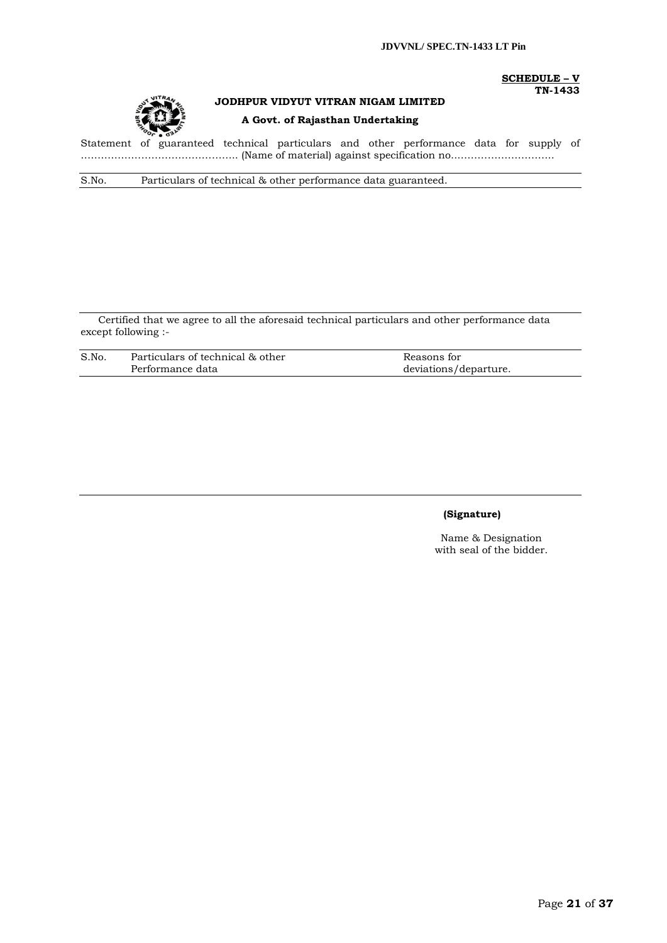



# **JODHPUR VIDYUT VITRAN NIGAM LIMITED A Govt. of Rajasthan Undertaking**

# **SCHEDULE – V TN-1433**

Statement of guaranteed technical particulars and other performance data for supply of ……………………………………….. (Name of material) against specification no..………………………..

S.No. Particulars of technical & other performance data guaranteed.

Certified that we agree to all the aforesaid technical particulars and other performance data except following :-

| S.No. | Particulars of technical & other | Reasons for           |
|-------|----------------------------------|-----------------------|
|       | Performance data                 | deviations/departure. |

# **(Signature)**

Name & Designation with seal of the bidder.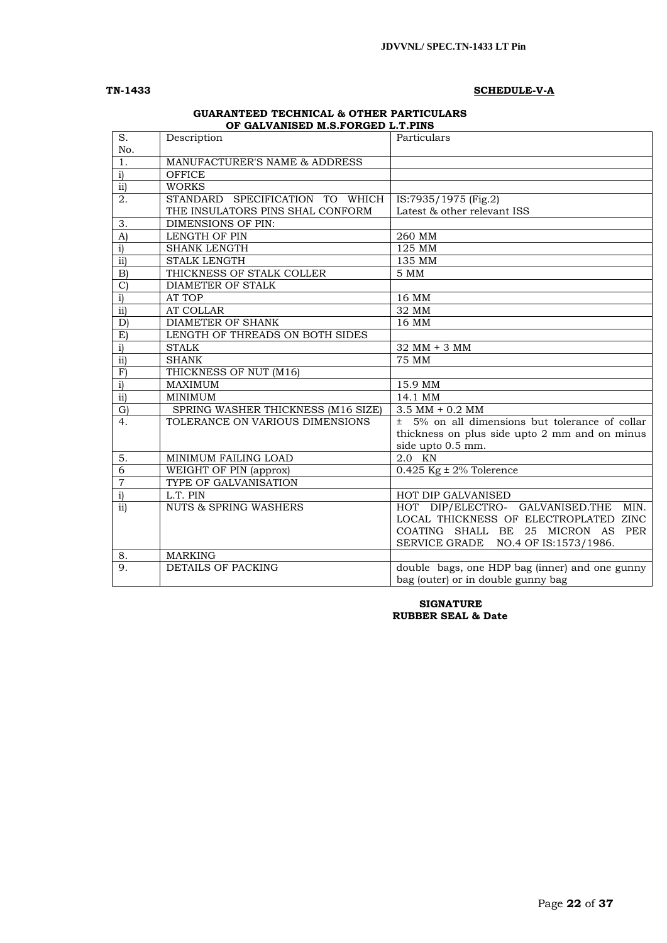### **TN-1433 SCHEDULE-V-A**

#### **GUARANTEED TECHNICAL & OTHER PARTICULARS OF GALVANISED M.S.FORGED L.T.PINS**

| S.<br>No.        | Description                        | Particulars                                        |
|------------------|------------------------------------|----------------------------------------------------|
| 1.               | MANUFACTURER'S NAME & ADDRESS      |                                                    |
| $\overline{i}$   | <b>OFFICE</b>                      |                                                    |
| ii)              | <b>WORKS</b>                       |                                                    |
| $\overline{2}$ . | STANDARD SPECIFICATION TO WHICH    | IS:7935/1975 (Fig.2)                               |
|                  | THE INSULATORS PINS SHAL CONFORM   | Latest & other relevant ISS                        |
| 3.               | DIMENSIONS OF PIN:                 |                                                    |
| A)               | LENGTH OF PIN                      | 260 MM                                             |
| $\mathbf{i}$     | <b>SHANK LENGTH</b>                | 125 MM                                             |
| $\overline{ii}$  | <b>STALK LENGTH</b>                | 135 MM                                             |
| B)               | THICKNESS OF STALK COLLER          | 5 MM                                               |
| $\mathcal{C}$    | <b>DIAMETER OF STALK</b>           |                                                    |
| $\overline{i}$   | AT TOP                             | 16 MM                                              |
| $\overline{ii}$  | <b>AT COLLAR</b>                   | 32 MM                                              |
| D                | DIAMETER OF SHANK                  | 16 MM                                              |
| E)               | LENGTH OF THREADS ON BOTH SIDES    |                                                    |
| $\mathbf{i}$     | <b>STALK</b>                       | 32 MM + 3 MM                                       |
| $\overline{ii}$  | <b>SHANK</b>                       | <b>75 MM</b>                                       |
| $\mathbf F$      | THICKNESS OF NUT (M16)             |                                                    |
| $\overline{i}$   | <b>MAXIMUM</b>                     | 15.9 MM                                            |
| $\overline{ii}$  | <b>MINIMUM</b>                     | $14.1$ MM                                          |
| $\mathrm{G}$     | SPRING WASHER THICKNESS (M16 SIZE) | $3.5$ MM + $0.2$ MM                                |
| 4.               | TOLERANCE ON VARIOUS DIMENSIONS    | $\pm$ 5% on all dimensions but tolerance of collar |
|                  |                                    | thickness on plus side upto 2 mm and on minus      |
|                  |                                    | side upto 0.5 mm.                                  |
| 5.               | MINIMUM FAILING LOAD               | 2.0 KN                                             |
| $\overline{6}$   | WEIGHT OF PIN (approx)             | $0.425$ Kg $\pm$ 2% Tolerence                      |
| $\overline{7}$   | TYPE OF GALVANISATION              |                                                    |
| $\overline{i}$   | L.T. PIN                           | HOT DIP GALVANISED                                 |
| ii)              | <b>NUTS &amp; SPRING WASHERS</b>   | HOT DIP/ELECTRO- GALVANISED.THE MIN.               |
|                  |                                    | LOCAL THICKNESS OF ELECTROPLATED ZINC              |
|                  |                                    | COATING SHALL BE 25 MICRON AS PER                  |
|                  |                                    | SERVICE GRADE NO.4 OF IS:1573/1986.                |
| 8.               | <b>MARKING</b>                     |                                                    |
| 9.               | <b>DETAILS OF PACKING</b>          | double bags, one HDP bag (inner) and one gunny     |
|                  |                                    | bag (outer) or in double gunny bag                 |

#### **SIGNATURE RUBBER SEAL & Date**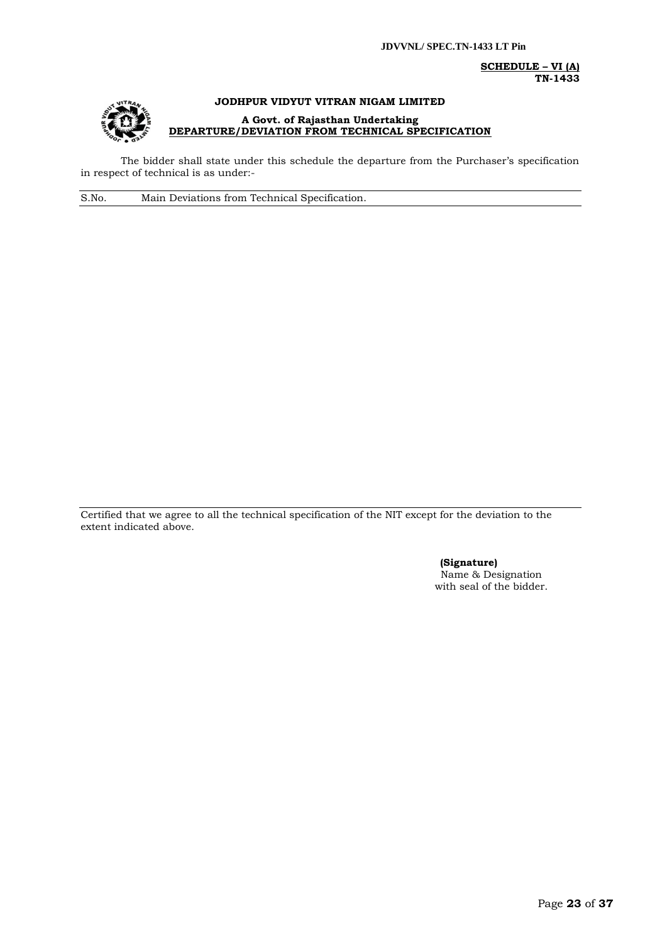**SCHEDULE – VI (A) TN-1433**



# **JODHPUR VIDYUT VITRAN NIGAM LIMITED A Govt. of Rajasthan Undertaking**

**DEPARTURE/DEVIATION FROM TECHNICAL SPECIFICATION**

The bidder shall state under this schedule the departure from the Purchaser's specification in respect of technical is as under:-

S.No. Main Deviations from Technical Specification.

Certified that we agree to all the technical specification of the NIT except for the deviation to the extent indicated above.

> **(Signature)** Name & Designation with seal of the bidder.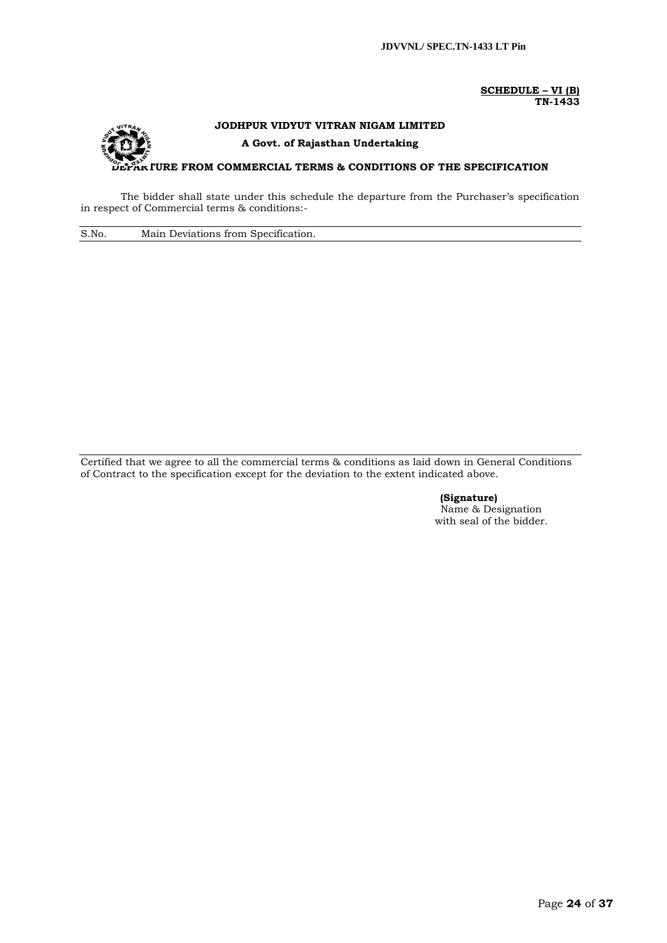**SCHEDULE – VI (B) TN-1433**

# **JODHPUR VIDYUT VITRAN NIGAM LIMITED A Govt. of Rajasthan Undertaking URE FROM COMMERCIAL TERMS & CONDITIONS OF THE SPECIFICATION**

The bidder shall state under this schedule the departure from the Purchaser's specification in respect of Commercial terms & conditions:-

S.No. Main Deviations from Specification.

Certified that we agree to all the commercial terms & conditions as laid down in General Conditions of Contract to the specification except for the deviation to the extent indicated above.

> **(Signature)** Name & Designation with seal of the bidder.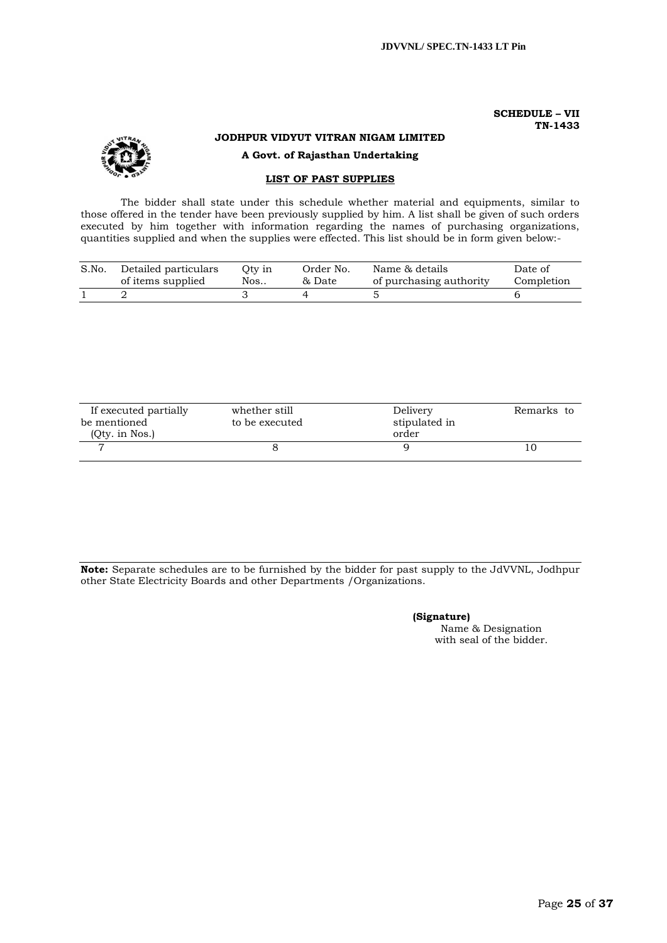#### **SCHEDULE – VII TN-1433**



# **JODHPUR VIDYUT VITRAN NIGAM LIMITED**

**A Govt. of Rajasthan Undertaking**

# **LIST OF PAST SUPPLIES**

The bidder shall state under this schedule whether material and equipments, similar to those offered in the tender have been previously supplied by him. A list shall be given of such orders executed by him together with information regarding the names of purchasing organizations, quantities supplied and when the supplies were effected. This list should be in form given below:-

| S.No. | Detailed particulars | Oty in | Order No. | Name & details          | Date of    |
|-------|----------------------|--------|-----------|-------------------------|------------|
|       | of items supplied    | Nos    | & Date    | of purchasing authority | Completion |
|       |                      |        |           |                         |            |

| If executed partially | whether still  | Delivery      | Remarks to |
|-----------------------|----------------|---------------|------------|
| be mentioned          | to be executed | stipulated in |            |
| (Qty. in Nos.)        |                | order         |            |
|                       |                |               | -0         |

**Note:** Separate schedules are to be furnished by the bidder for past supply to the JdVVNL, Jodhpur other State Electricity Boards and other Departments /Organizations.

> **(Signature)** Name & Designation with seal of the bidder.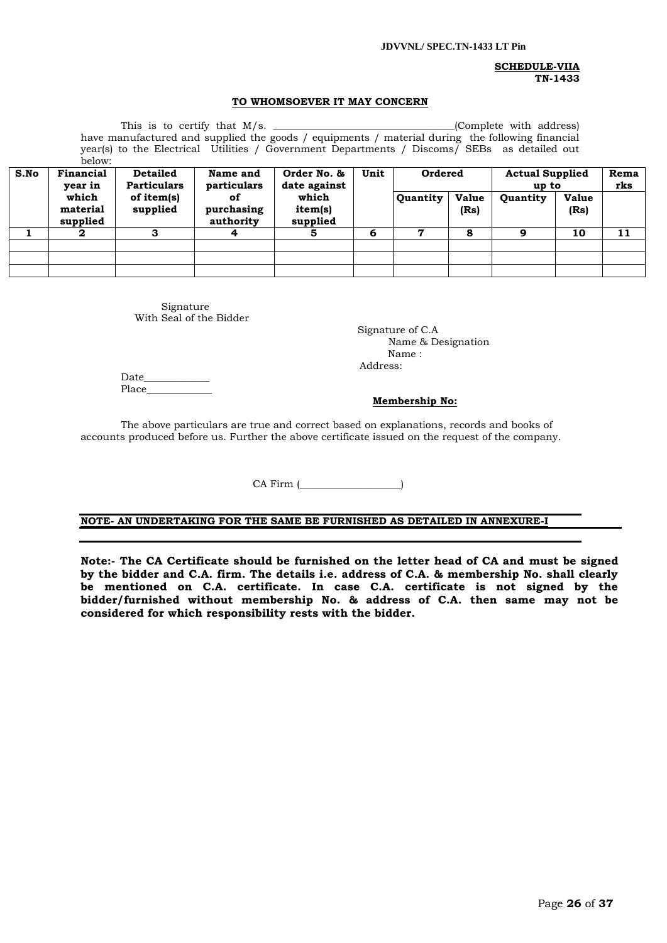#### **SCHEDULE-VIIA TN-1433**

#### **TO WHOMSOEVER IT MAY CONCERN**

This is to certify that M/s. \_\_\_\_\_\_\_\_\_\_\_\_\_\_\_\_\_\_\_\_\_\_\_\_\_\_\_\_\_\_\_\_\_\_\_\_(Complete with address) have manufactured and supplied the goods / equipments / material during the following financial year(s) to the Electrical Utilities / Government Departments / Discoms/ SEBs as detailed out  $h$ elow:

| S.No | <u>DUIDW.</u><br>Financial<br>vear in | <b>Detailed</b><br><b>Particulars</b> | Name and<br>particulars       | Unit<br>Order No. &<br>date against<br>which<br>item(s) | Ordered  |  | <b>Actual Supplied</b><br>up to | Rema<br>rks          |          |                      |
|------|---------------------------------------|---------------------------------------|-------------------------------|---------------------------------------------------------|----------|--|---------------------------------|----------------------|----------|----------------------|
|      | which<br>material<br>supplied         | of item(s)<br>supplied                | of<br>purchasing<br>authority |                                                         | supplied |  | <b>Quantity</b>                 | <b>Value</b><br>(Rs) | Quantity | <b>Value</b><br>(Rs) |
|      | 2                                     |                                       | 4                             |                                                         | 6        |  | 8                               | ą                    | 10       | 11                   |
|      |                                       |                                       |                               |                                                         |          |  |                                 |                      |          |                      |
|      |                                       |                                       |                               |                                                         |          |  |                                 |                      |          |                      |
|      |                                       |                                       |                               |                                                         |          |  |                                 |                      |          |                      |

Signature With Seal of the Bidder

 Signature of C.A Name & Designation Name : Address:

Date\_ Place

#### **Membership No:**

The above particulars are true and correct based on explanations, records and books of accounts produced before us. Further the above certificate issued on the request of the company.

CA Firm (

# **NOTE- AN UNDERTAKING FOR THE SAME BE FURNISHED AS DETAILED IN ANNEXURE-I**

**Note:- The CA Certificate should be furnished on the letter head of CA and must be signed by the bidder and C.A. firm. The details i.e. address of C.A. & membership No. shall clearly be mentioned on C.A. certificate. In case C.A. certificate is not signed by the bidder/furnished without membership No. & address of C.A. then same may not be considered for which responsibility rests with the bidder.**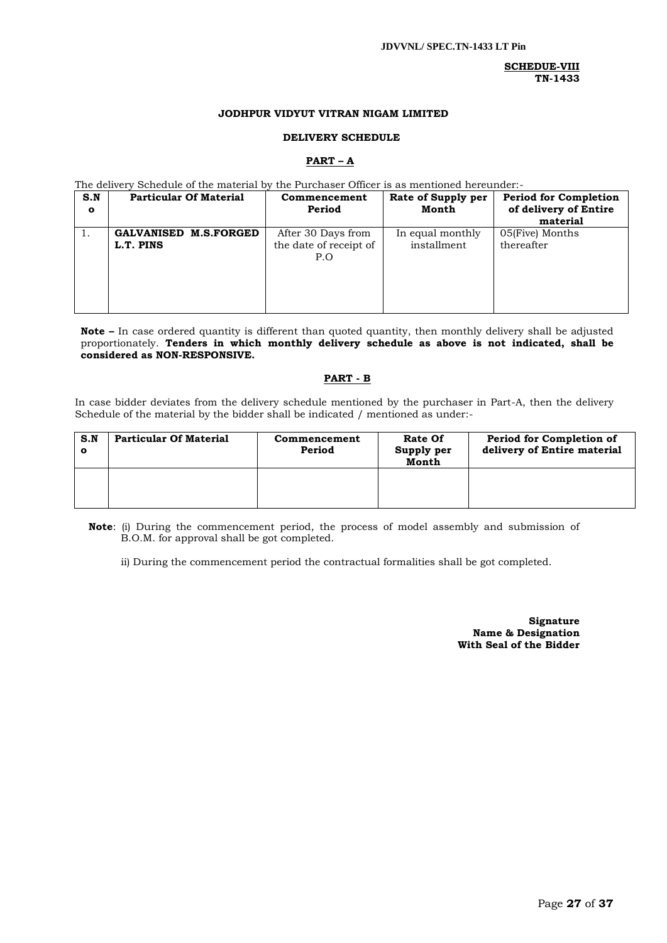### **SCHEDUE-VIII TN-1433**

#### **JODHPUR VIDYUT VITRAN NIGAM LIMITED**

#### **DELIVERY SCHEDULE**

#### **PART – A**

The delivery Schedule of the material by the Purchaser Officer is as mentioned hereunder:-

| S.N<br>$\mathbf{o}$ | <b>Particular Of Material</b> | Commencement<br>Period | Rate of Supply per<br>Month | <b>Period for Completion</b><br>of delivery of Entire |
|---------------------|-------------------------------|------------------------|-----------------------------|-------------------------------------------------------|
|                     |                               |                        |                             | material                                              |
| ι.                  | <b>GALVANISED M.S.FORGED</b>  | After 30 Days from     | In equal monthly            | 05(Five) Months                                       |
|                     | L.T. PINS                     | the date of receipt of | installment                 | thereafter                                            |
|                     |                               | P.O                    |                             |                                                       |
|                     |                               |                        |                             |                                                       |
|                     |                               |                        |                             |                                                       |
|                     |                               |                        |                             |                                                       |
|                     |                               |                        |                             |                                                       |

**Note –** In case ordered quantity is different than quoted quantity, then monthly delivery shall be adjusted proportionately. **Tenders in which monthly delivery schedule as above is not indicated, shall be considered as NON-RESPONSIVE.**

# **PART - B**

In case bidder deviates from the delivery schedule mentioned by the purchaser in Part-A, then the delivery Schedule of the material by the bidder shall be indicated / mentioned as under:-

| S.N<br>O | <b>Particular Of Material</b> | Commencement<br>Period | Rate Of<br>Supply per<br>Month | Period for Completion of<br>delivery of Entire material |
|----------|-------------------------------|------------------------|--------------------------------|---------------------------------------------------------|
|          |                               |                        |                                |                                                         |

**Note**: (i) During the commencement period, the process of model assembly and submission of B.O.M. for approval shall be got completed.

ii) During the commencement period the contractual formalities shall be got completed.

**Signature Name & Designation With Seal of the Bidder**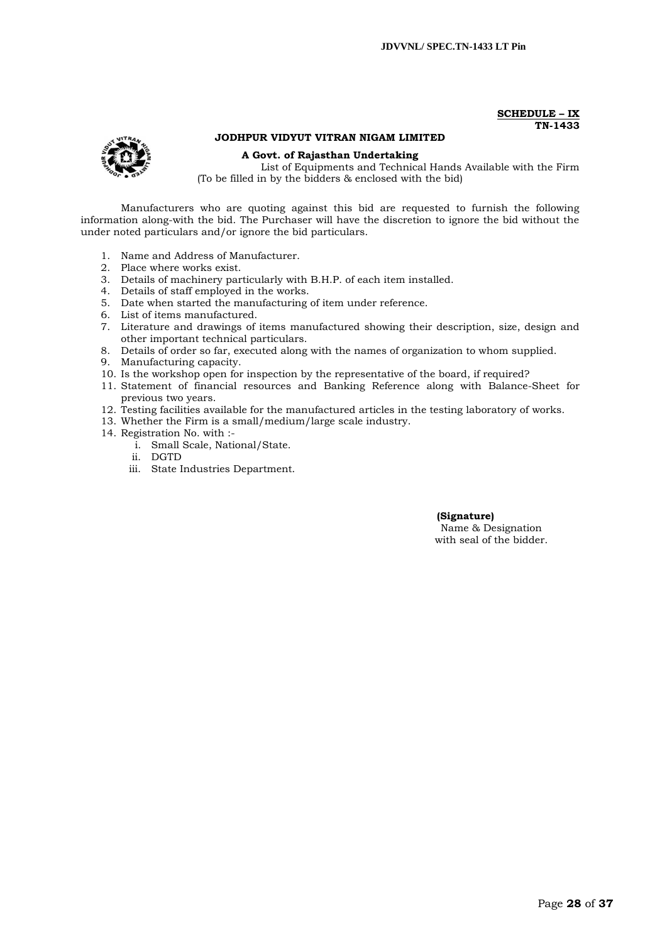#### **SCHEDULE – IX TN-1433**

# **JODHPUR VIDYUT VITRAN NIGAM LIMITED**

**A Govt. of Rajasthan Undertaking**

List of Equipments and Technical Hands Available with the Firm (To be filled in by the bidders & enclosed with the bid)

Manufacturers who are quoting against this bid are requested to furnish the following information along-with the bid. The Purchaser will have the discretion to ignore the bid without the under noted particulars and/or ignore the bid particulars.

- 1. Name and Address of Manufacturer.
- 2. Place where works exist.
- 3. Details of machinery particularly with B.H.P. of each item installed.
- 4. Details of staff employed in the works.
- 5. Date when started the manufacturing of item under reference.
- 6. List of items manufactured.
- 7. Literature and drawings of items manufactured showing their description, size, design and other important technical particulars.
- 8. Details of order so far, executed along with the names of organization to whom supplied.
- 9. Manufacturing capacity.
- 10. Is the workshop open for inspection by the representative of the board, if required?
- 11. Statement of financial resources and Banking Reference along with Balance-Sheet for previous two years.
- 12. Testing facilities available for the manufactured articles in the testing laboratory of works.
- 13. Whether the Firm is a small/medium/large scale industry.
- 14. Registration No. with :
	- i. Small Scale, National/State.
	- ii. DGTD
	- iii. State Industries Department.

#### **(Signature)** Name & Designation

with seal of the bidder.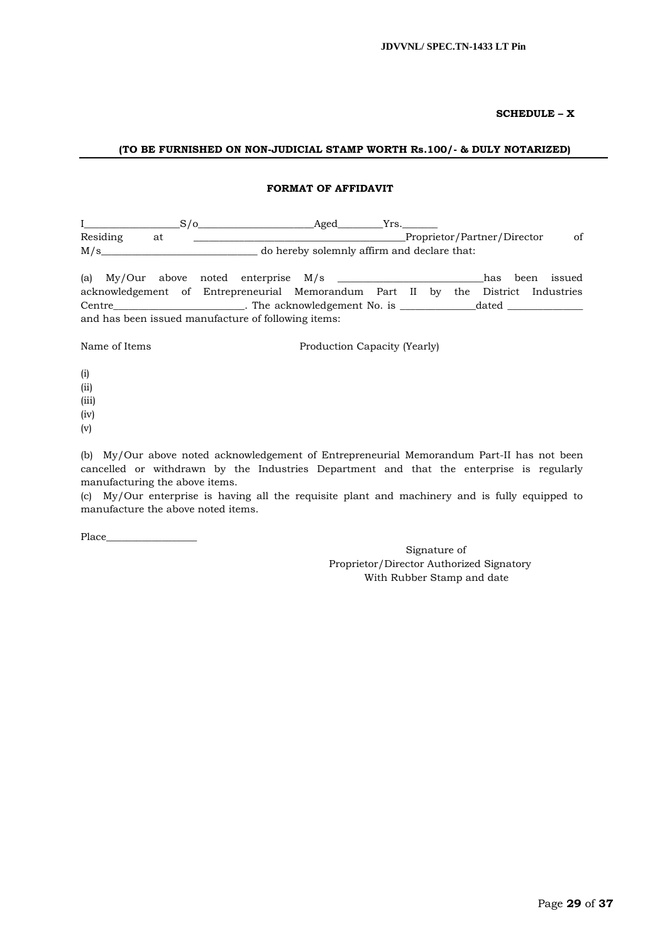### **SCHEDULE – X**

### **(TO BE FURNISHED ON NON-JUDICIAL STAMP WORTH Rs.100/- & DULY NOTARIZED)**

#### **FORMAT OF AFFIDAVIT**

|          |  | Aged                                        |    |
|----------|--|---------------------------------------------|----|
| Residing |  | Proprietor/Partner/Director                 | οf |
| M/s      |  | do hereby solemnly affirm and declare that: |    |

(a)  $My/Our$  above noted enterprise  $M/s$  \_\_\_\_\_\_\_\_\_\_\_\_\_\_\_\_\_\_\_\_\_\_\_\_\_\_has been issued acknowledgement of Entrepreneurial Memorandum Part II by the District Industries Centre\_\_\_\_\_\_\_\_\_\_\_\_\_\_\_\_\_\_\_\_\_\_\_\_\_\_. The acknowledgement No. is \_\_\_\_\_\_\_\_\_\_\_\_\_\_\_dated \_\_\_\_\_\_\_\_\_\_\_\_\_\_\_ and has been issued manufacture of following items:

Name of Items Production Capacity (Yearly)

- (i) (ii)
- (iii)
- (iv)
- (v)

(b) My/Our above noted acknowledgement of Entrepreneurial Memorandum Part-II has not been cancelled or withdrawn by the Industries Department and that the enterprise is regularly manufacturing the above items.

(c) My/Our enterprise is having all the requisite plant and machinery and is fully equipped to manufacture the above noted items.

Place

Signature of Proprietor/Director Authorized Signatory With Rubber Stamp and date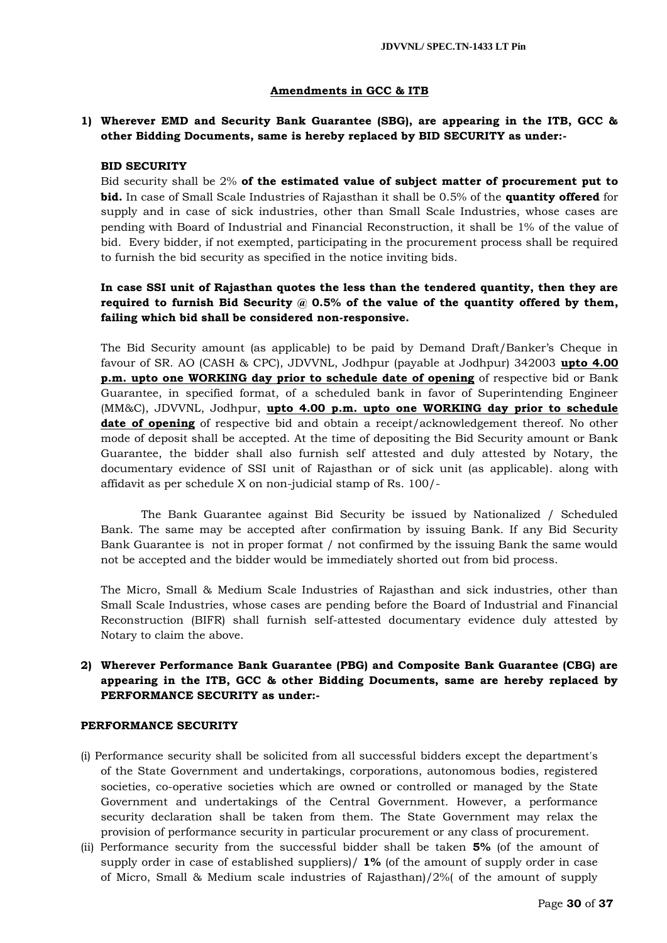# **Amendments in GCC & ITB**

# **1) Wherever EMD and Security Bank Guarantee (SBG), are appearing in the ITB, GCC & other Bidding Documents, same is hereby replaced by BID SECURITY as under:-**

# **BID SECURITY**

Bid security shall be 2% **of the estimated value of subject matter of procurement put to bid.** In case of Small Scale Industries of Rajasthan it shall be 0.5% of the **quantity offered** for supply and in case of sick industries, other than Small Scale Industries, whose cases are pending with Board of Industrial and Financial Reconstruction, it shall be 1% of the value of bid. Every bidder, if not exempted, participating in the procurement process shall be required to furnish the bid security as specified in the notice inviting bids.

# **In case SSI unit of Rajasthan quotes the less than the tendered quantity, then they are required to furnish Bid Security @ 0.5% of the value of the quantity offered by them, failing which bid shall be considered non-responsive.**

The Bid Security amount (as applicable) to be paid by Demand Draft/Banker's Cheque in favour of SR. AO (CASH & CPC), JDVVNL, Jodhpur (payable at Jodhpur) 342003 **upto 4.00 p.m. upto one WORKING day prior to schedule date of opening** of respective bid or Bank Guarantee, in specified format, of a scheduled bank in favor of Superintending Engineer (MM&C), JDVVNL, Jodhpur, **upto 4.00 p.m. upto one WORKING day prior to schedule date of opening** of respective bid and obtain a receipt/acknowledgement thereof. No other mode of deposit shall be accepted. At the time of depositing the Bid Security amount or Bank Guarantee, the bidder shall also furnish self attested and duly attested by Notary, the documentary evidence of SSI unit of Rajasthan or of sick unit (as applicable). along with affidavit as per schedule X on non-judicial stamp of Rs. 100/-

The Bank Guarantee against Bid Security be issued by Nationalized / Scheduled Bank. The same may be accepted after confirmation by issuing Bank. If any Bid Security Bank Guarantee is not in proper format / not confirmed by the issuing Bank the same would not be accepted and the bidder would be immediately shorted out from bid process.

The Micro, Small & Medium Scale Industries of Rajasthan and sick industries, other than Small Scale Industries, whose cases are pending before the Board of Industrial and Financial Reconstruction (BIFR) shall furnish self-attested documentary evidence duly attested by Notary to claim the above.

# **2) Wherever Performance Bank Guarantee (PBG) and Composite Bank Guarantee (CBG) are appearing in the ITB, GCC & other Bidding Documents, same are hereby replaced by PERFORMANCE SECURITY as under:-**

# **PERFORMANCE SECURITY**

- (i) Performance security shall be solicited from all successful bidders except the department's of the State Government and undertakings, corporations, autonomous bodies, registered societies, co-operative societies which are owned or controlled or managed by the State Government and undertakings of the Central Government. However, a performance security declaration shall be taken from them. The State Government may relax the provision of performance security in particular procurement or any class of procurement.
- (ii) Performance security from the successful bidder shall be taken **5%** (of the amount of supply order in case of established suppliers)/ **1%** (of the amount of supply order in case of Micro, Small & Medium scale industries of Rajasthan)/2%( of the amount of supply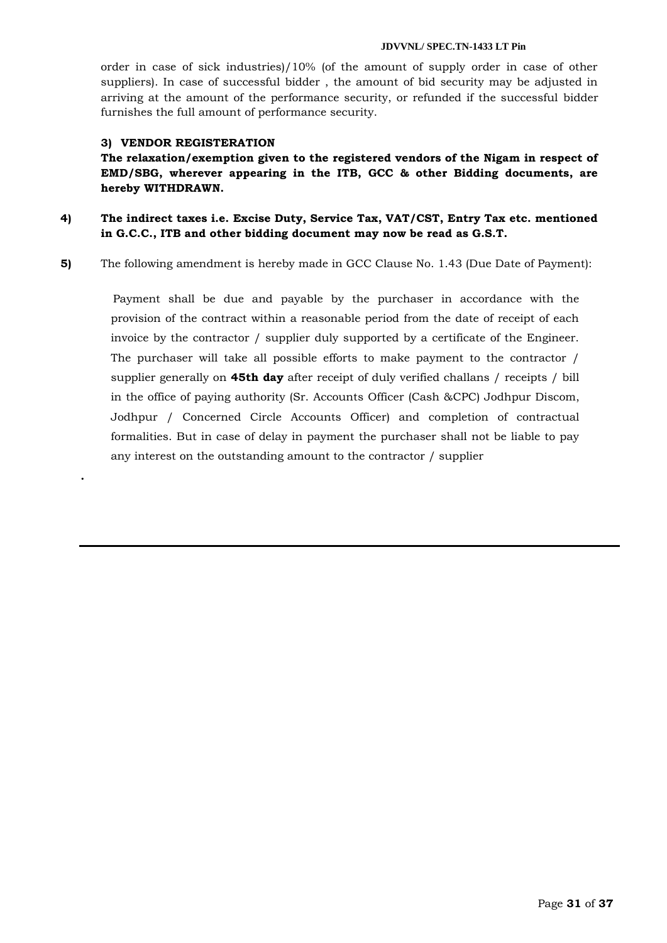order in case of sick industries)/10% (of the amount of supply order in case of other suppliers). In case of successful bidder , the amount of bid security may be adjusted in arriving at the amount of the performance security, or refunded if the successful bidder furnishes the full amount of performance security.

# **3) VENDOR REGISTERATION**

**.**

**The relaxation/exemption given to the registered vendors of the Nigam in respect of EMD/SBG, wherever appearing in the ITB, GCC & other Bidding documents, are hereby WITHDRAWN.**

**4) The indirect taxes i.e. Excise Duty, Service Tax, VAT/CST, Entry Tax etc. mentioned in G.C.C., ITB and other bidding document may now be read as G.S.T.**

**5)** The following amendment is hereby made in GCC Clause No. 1.43 (Due Date of Payment):

 Payment shall be due and payable by the purchaser in accordance with the provision of the contract within a reasonable period from the date of receipt of each invoice by the contractor / supplier duly supported by a certificate of the Engineer. The purchaser will take all possible efforts to make payment to the contractor / supplier generally on **45th day** after receipt of duly verified challans / receipts / bill in the office of paying authority (Sr. Accounts Officer (Cash &CPC) Jodhpur Discom, Jodhpur / Concerned Circle Accounts Officer) and completion of contractual formalities. But in case of delay in payment the purchaser shall not be liable to pay any interest on the outstanding amount to the contractor / supplier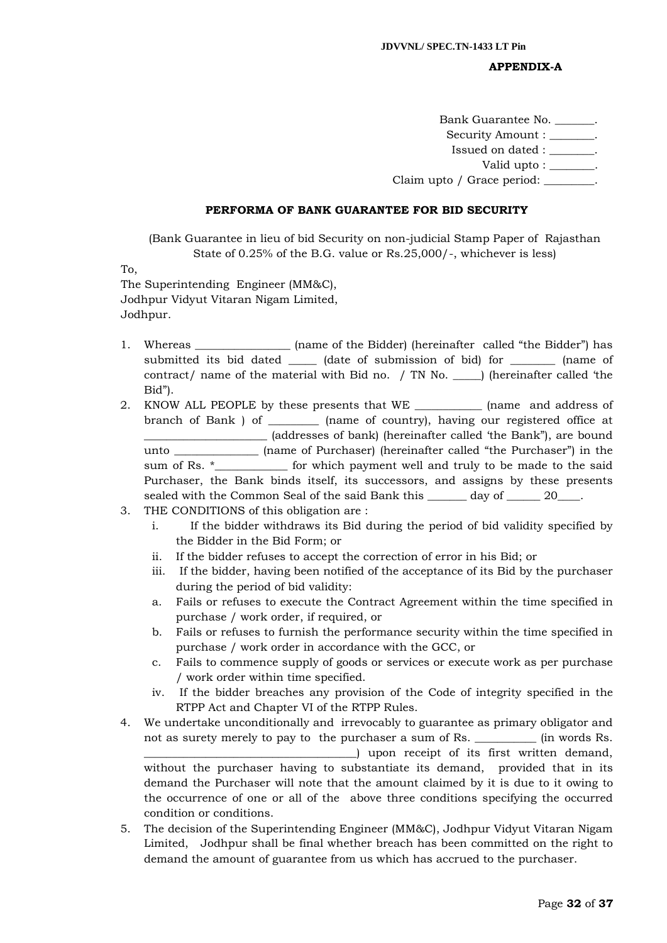# **APPENDIX-A**

Bank Guarantee No. \_\_\_\_\_\_\_. Security Amount :  $\qquad \qquad$ Issued on dated : \_\_\_\_\_\_\_\_. Valid upto : \_\_\_\_\_\_\_\_. Claim upto / Grace period: \_\_\_\_\_\_\_\_.

#### **PERFORMA OF BANK GUARANTEE FOR BID SECURITY**

(Bank Guarantee in lieu of bid Security on non-judicial Stamp Paper of Rajasthan State of 0.25% of the B.G. value or Rs.25,000/-, whichever is less)

To,

The Superintending Engineer (MM&C), Jodhpur Vidyut Vitaran Nigam Limited, Jodhpur.

- 1. Whereas \_\_\_\_\_\_\_\_\_\_\_\_\_\_\_\_ (name of the Bidder) (hereinafter called "the Bidder") has submitted its bid dated \_\_\_\_\_\_\_ (date of submission of bid) for \_\_\_\_\_\_\_\_\_ (name of contract/ name of the material with Bid no. / TN No. \_\_\_\_\_) (hereinafter called "the Bid").
- 2. KNOW ALL PEOPLE by these presents that WE \_\_\_\_\_\_\_\_\_\_\_\_ (name and address of branch of Bank ) of \_\_\_\_\_\_\_\_\_ (name of country), having our registered office at \_\_\_\_\_\_\_\_\_\_\_\_\_\_\_\_\_\_\_\_\_\_ (addresses of bank) (hereinafter called "the Bank"), are bound unto \_\_\_\_\_\_\_\_\_\_\_\_\_\_\_ (name of Purchaser) (hereinafter called "the Purchaser") in the sum of Rs. \*\_\_\_\_\_\_\_\_\_\_\_\_ for which payment well and truly to be made to the said Purchaser, the Bank binds itself, its successors, and assigns by these presents sealed with the Common Seal of the said Bank this \_\_\_\_\_\_\_ day of \_\_\_\_\_\_ 20\_\_\_\_.

# 3. THE CONDITIONS of this obligation are :

- i. If the bidder withdraws its Bid during the period of bid validity specified by the Bidder in the Bid Form; or
- ii. If the bidder refuses to accept the correction of error in his Bid; or
- iii. If the bidder, having been notified of the acceptance of its Bid by the purchaser during the period of bid validity:
- a. Fails or refuses to execute the Contract Agreement within the time specified in purchase / work order, if required, or
- b. Fails or refuses to furnish the performance security within the time specified in purchase / work order in accordance with the GCC, or
- c. Fails to commence supply of goods or services or execute work as per purchase / work order within time specified.
- iv. If the bidder breaches any provision of the Code of integrity specified in the RTPP Act and Chapter VI of the RTPP Rules.
- 4. We undertake unconditionally and irrevocably to guarantee as primary obligator and not as surety merely to pay to the purchaser a sum of Rs. \_\_\_\_\_\_\_\_\_\_\_ (in words Rs. \_\_\_\_\_\_\_\_\_\_\_\_\_\_\_\_\_\_\_\_\_\_\_\_\_\_\_\_\_\_\_\_\_\_\_\_\_\_) upon receipt of its first written demand, without the purchaser having to substantiate its demand, provided that in its demand the Purchaser will note that the amount claimed by it is due to it owing to the occurrence of one or all of the above three conditions specifying the occurred condition or conditions.
- 5. The decision of the Superintending Engineer (MM&C), Jodhpur Vidyut Vitaran Nigam Limited, Jodhpur shall be final whether breach has been committed on the right to demand the amount of guarantee from us which has accrued to the purchaser.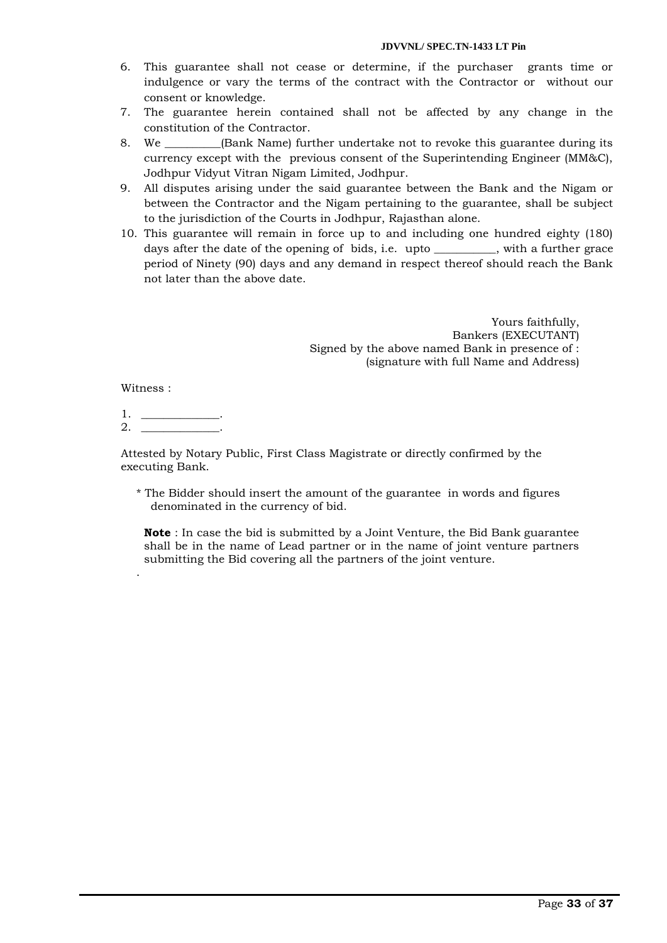- 6. This guarantee shall not cease or determine, if the purchaser grants time or indulgence or vary the terms of the contract with the Contractor or without our consent or knowledge.
- 7. The guarantee herein contained shall not be affected by any change in the constitution of the Contractor.
- 8. We **See Hank Name)** further undertake not to revoke this guarantee during its currency except with the previous consent of the Superintending Engineer (MM&C), Jodhpur Vidyut Vitran Nigam Limited, Jodhpur.
- 9. All disputes arising under the said guarantee between the Bank and the Nigam or between the Contractor and the Nigam pertaining to the guarantee, shall be subject to the jurisdiction of the Courts in Jodhpur, Rajasthan alone.
- 10. This guarantee will remain in force up to and including one hundred eighty (180) days after the date of the opening of bids, i.e. upto \_\_\_\_\_\_\_\_\_\_\_, with a further grace period of Ninety (90) days and any demand in respect thereof should reach the Bank not later than the above date.

Yours faithfully, Bankers (EXECUTANT) Signed by the above named Bank in presence of : (signature with full Name and Address)

Witness :

.

1. \_\_\_\_\_\_\_\_\_\_\_\_\_\_.  $2.$ 

Attested by Notary Public, First Class Magistrate or directly confirmed by the executing Bank.

\* The Bidder should insert the amount of the guarantee in words and figures denominated in the currency of bid.

**Note** : In case the bid is submitted by a Joint Venture, the Bid Bank guarantee shall be in the name of Lead partner or in the name of joint venture partners submitting the Bid covering all the partners of the joint venture.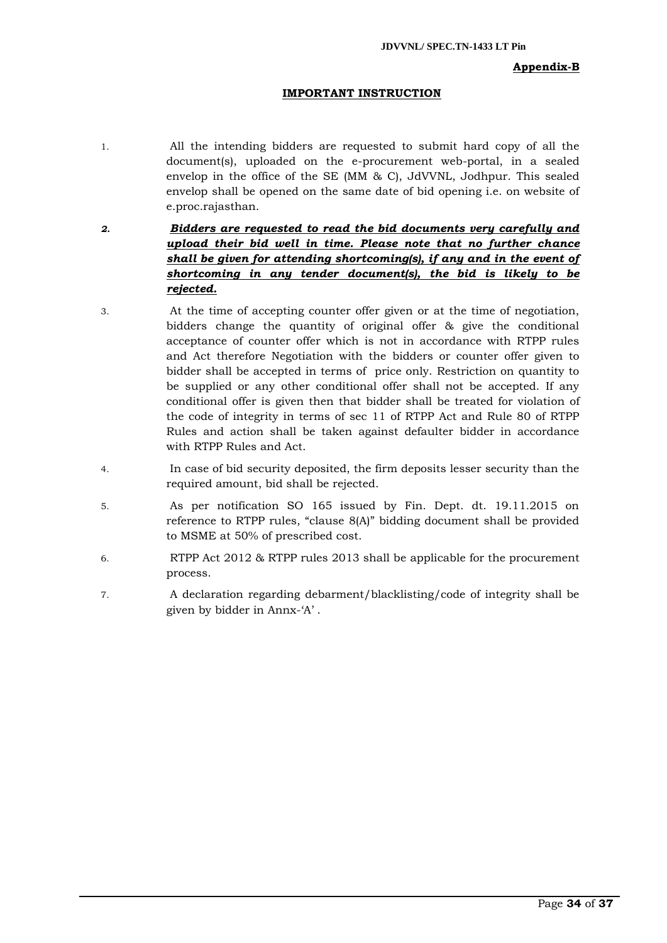# **Appendix-B**

# **IMPORTANT INSTRUCTION**

- 1. All the intending bidders are requested to submit hard copy of all the document(s), uploaded on the e-procurement web-portal, in a sealed envelop in the office of the SE (MM & C), JdVVNL, Jodhpur. This sealed envelop shall be opened on the same date of bid opening i.e. on website of e.proc.rajasthan.
- *2. Bidders are requested to read the bid documents very carefully and upload their bid well in time. Please note that no further chance shall be given for attending shortcoming(s), if any and in the event of shortcoming in any tender document(s), the bid is likely to be rejected.*
- 3. At the time of accepting counter offer given or at the time of negotiation, bidders change the quantity of original offer & give the conditional acceptance of counter offer which is not in accordance with RTPP rules and Act therefore Negotiation with the bidders or counter offer given to bidder shall be accepted in terms of price only. Restriction on quantity to be supplied or any other conditional offer shall not be accepted. If any conditional offer is given then that bidder shall be treated for violation of the code of integrity in terms of sec 11 of RTPP Act and Rule 80 of RTPP Rules and action shall be taken against defaulter bidder in accordance with RTPP Rules and Act.
- 4. In case of bid security deposited, the firm deposits lesser security than the required amount, bid shall be rejected.
- 5. As per notification SO 165 issued by Fin. Dept. dt. 19.11.2015 on reference to RTPP rules, "clause 8(A)" bidding document shall be provided to MSME at 50% of prescribed cost.
- 6. RTPP Act 2012 & RTPP rules 2013 shall be applicable for the procurement process.
- 7. A declaration regarding debarment/blacklisting/code of integrity shall be given by bidder in Annx-"A" .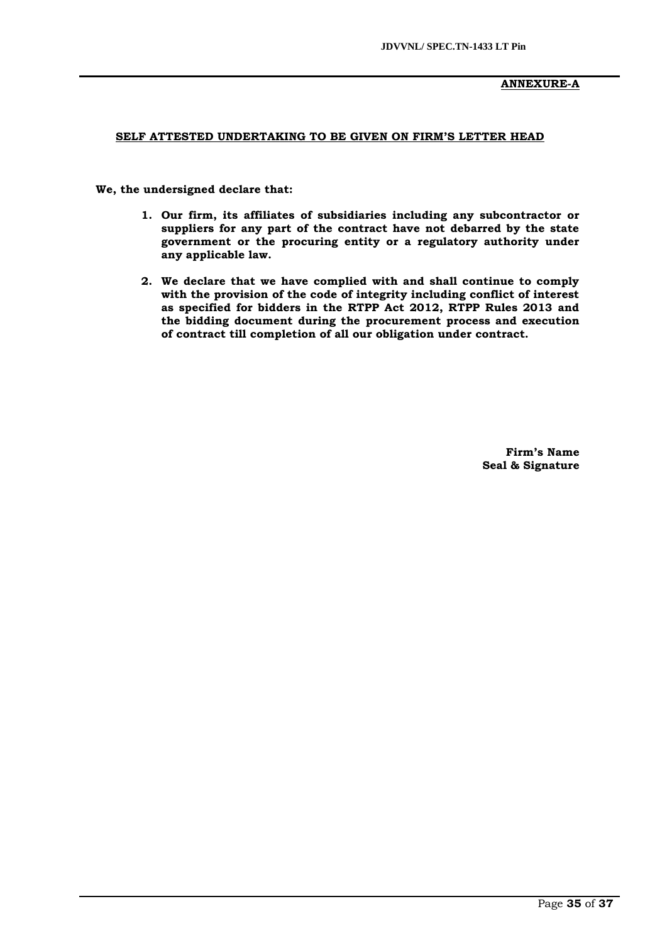# **ANNEXURE-A**

# **SELF ATTESTED UNDERTAKING TO BE GIVEN ON FIRM'S LETTER HEAD**

 **We, the undersigned declare that:**

- **1. Our firm, its affiliates of subsidiaries including any subcontractor or suppliers for any part of the contract have not debarred by the state government or the procuring entity or a regulatory authority under any applicable law.**
- **2. We declare that we have complied with and shall continue to comply with the provision of the code of integrity including conflict of interest as specified for bidders in the RTPP Act 2012, RTPP Rules 2013 and the bidding document during the procurement process and execution of contract till completion of all our obligation under contract.**

**Firm's Name Seal & Signature**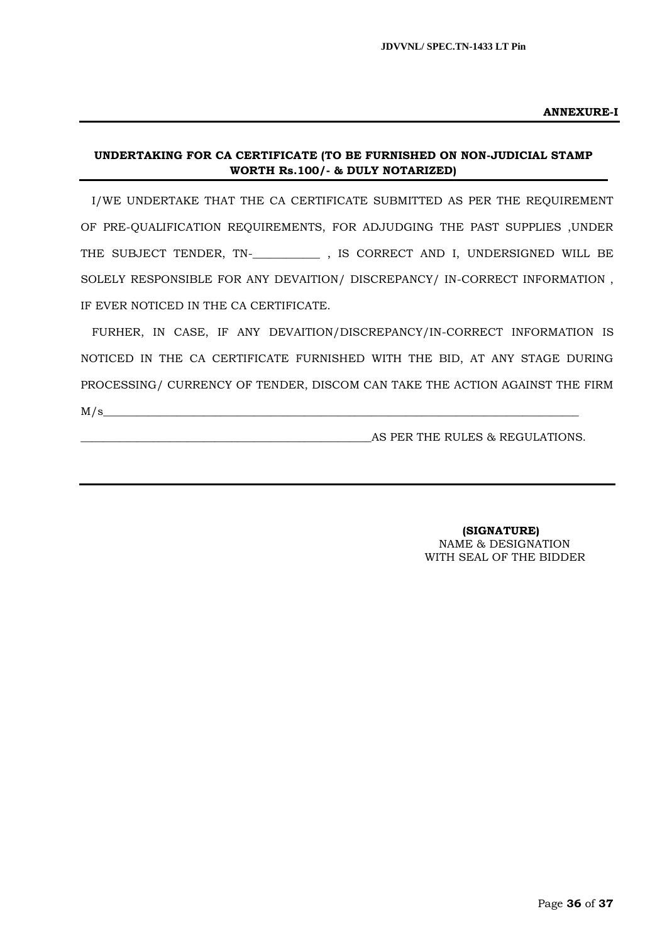#### **ANNEXURE-I**

# **UNDERTAKING FOR CA CERTIFICATE (TO BE FURNISHED ON NON-JUDICIAL STAMP WORTH Rs.100/- & DULY NOTARIZED)**

I/WE UNDERTAKE THAT THE CA CERTIFICATE SUBMITTED AS PER THE REQUIREMENT OF PRE-QUALIFICATION REQUIREMENTS, FOR ADJUDGING THE PAST SUPPLIES ,UNDER THE SUBJECT TENDER, TN-\_**\_\_\_\_\_\_\_\_\_\_\_** , IS CORRECT AND I, UNDERSIGNED WILL BE SOLELY RESPONSIBLE FOR ANY DEVAITION/ DISCREPANCY/ IN-CORRECT INFORMATION , IF EVER NOTICED IN THE CA CERTIFICATE.

FURHER, IN CASE, IF ANY DEVAITION/DISCREPANCY/IN-CORRECT INFORMATION IS NOTICED IN THE CA CERTIFICATE FURNISHED WITH THE BID, AT ANY STAGE DURING PROCESSING/ CURRENCY OF TENDER, DISCOM CAN TAKE THE ACTION AGAINST THE FIRM M/s\_\_\_\_\_\_\_\_\_\_\_\_\_\_\_\_\_\_\_\_\_\_\_\_\_\_\_\_\_\_\_\_\_\_\_\_\_\_\_\_\_\_\_\_\_\_\_\_\_\_\_\_\_\_\_\_\_\_\_\_\_\_\_\_\_\_\_\_\_\_\_\_\_\_\_\_\_\_\_\_\_\_\_\_\_

AS PER THE RULES & REGULATIONS.

 **(SIGNATURE)** NAME & DESIGNATION WITH SEAL OF THE BIDDER